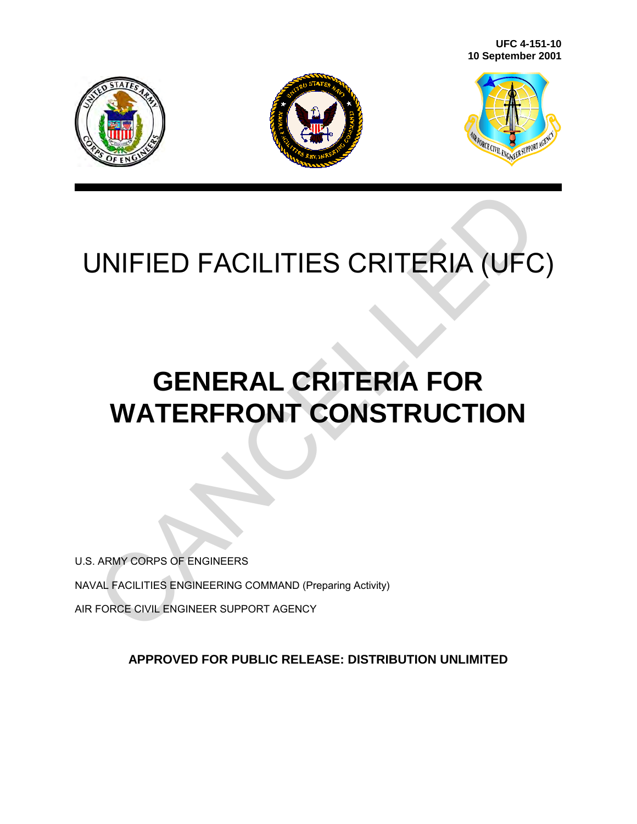

# UNIFIED FACILITIES CRITERIA (UFC)

# **GENERAL CRITERIA FOR WATERFRONT CONSTRUCTION**  UNIFIED FACILITIES CRITERIA (UFC<br>GENERAL CRITERIA FOR<br>WATERFRONT CONSTRUCTION<br>ARMY CORPS OF ENGINEERS<br>AL FACILITIES ENGINEERING COMMAND (Preparing Activity)<br>FORCE CIVIL ENGINEER SUPPORT AGENCY

U.S. ARMY CORPS OF ENGINEERS NAVAL FACILITIES ENGINEERING COMMAND (Preparing Activity) AIR FORCE CIVIL ENGINEER SUPPORT AGENCY

**APPROVED FOR PUBLIC RELEASE: DISTRIBUTION UNLIMITED**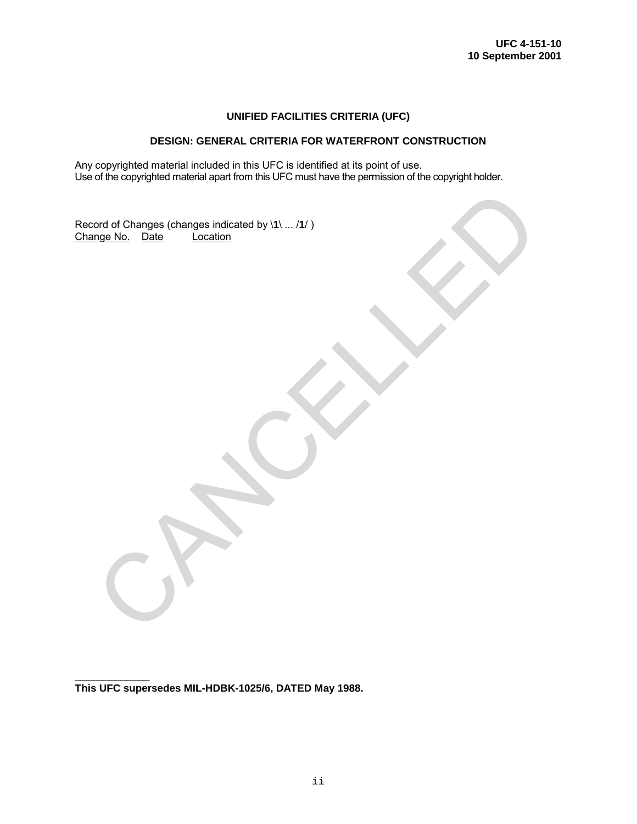#### **UNIFIED FACILITIES CRITERIA (UFC)**

#### **DESIGN: GENERAL CRITERIA FOR WATERFRONT CONSTRUCTION**

Any copyrighted material included in this UFC is identified at its point of use. Use of the copyrighted material apart from this UFC must have the permission of the copyright holder.

Record of Changes (changes indicated by \**1**\ ... /**1**/ ) Change No. Date Location ord of Changes (changes indicated by Yl<sub>1</sub> ... /l/)<br><u>nge No.</u> Date<br>Cancelled by Yl<sup>1</sup> ... ... /l/)

 $\overline{\phantom{a}}$ **This UFC supersedes MIL-HDBK-1025/6, DATED May 1988.**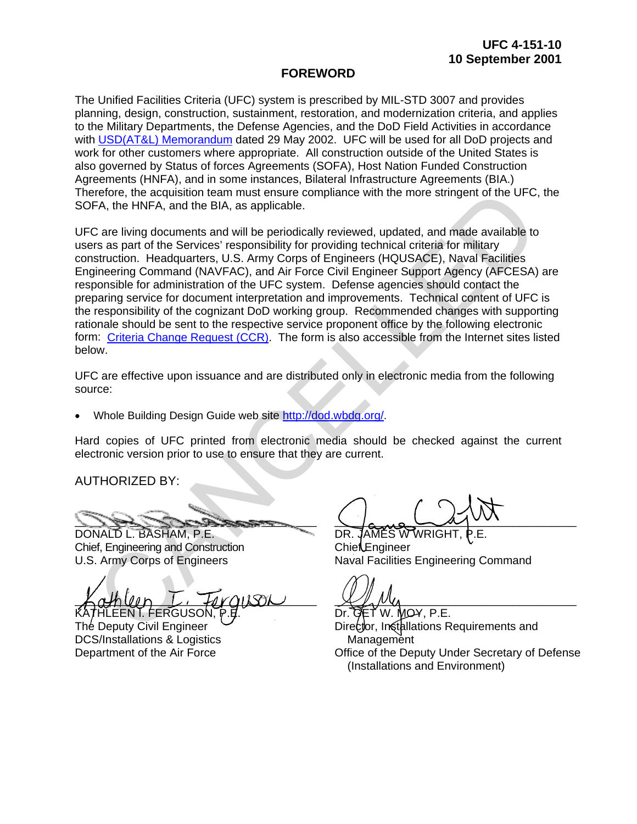#### **FOREWORD**

The Unified Facilities Criteria (UFC) system is prescribed by MIL-STD 3007 and provides planning, design, construction, sustainment, restoration, and modernization criteria, and applies to the Military Departments, the Defense Agencies, and the DoD Field Activities in accordance with [USD\(AT&L\) Memorandum](http://www.wbdg.org/pdfs/ufc_implementation.pdf) dated 29 May 2002. UFC will be used for all DoD projects and work for other customers where appropriate. All construction outside of the United States is also governed by Status of forces Agreements (SOFA), Host Nation Funded Construction Agreements (HNFA), and in some instances, Bilateral Infrastructure Agreements (BIA.) Therefore, the acquisition team must ensure compliance with the more stringent of the UFC, the SOFA, the HNFA, and the BIA, as applicable.

UFC are living documents and will be periodically reviewed, updated, and made available to users as part of the Services' responsibility for providing technical criteria for military construction. Headquarters, U.S. Army Corps of Engineers (HQUSACE), Naval Facilities Engineering Command (NAVFAC), and Air Force Civil Engineer Support Agency (AFCESA) are responsible for administration of the UFC system. Defense agencies should contact the preparing service for document interpretation and improvements. Technical content of UFC is the responsibility of the cognizant DoD working group. Recommended changes with supporting rationale should be sent to the respective service proponent office by the following electronic form: Criteria Change Request (CCR). The form is also accessible from the Internet sites listed below. refore, the acquisition team must ensure compliance with the more stringent of the UFC,<br>FA, the HNFA, and the BIA, as applicable.<br>
2 are living documents and will be periodically reviewed, updated, and made available to<br>
2

UFC are effective upon issuance and are distributed only in electronic media from the following source:

• Whole Building Design Guide web site http://dod.wbdg.org/.

Hard copies of UFC printed from electronic media should be checked against the current electronic version prior to use to ensure that they are current.

AUTHORIZED BY:

 $\Box$ 

DONALD L. BASHAM, P.E. Chief, Engineering and Construction U.S. Army Corps of Engineers

 $L_0$  to the process to the control  $L_1$ HLEEN I. FERGUSON.

The Deputy Civil Engineer DCS/Installations & Logistics Department of the Air Force

 $\bigcup_{\alpha,\alpha}$   $\bigcup_{\alpha\beta}$ 

DR. JAMES W WRIGHT ChiefEngineer Naval Facilities Engineering Command

 $\chi$   $\chi$   $\mu$   $\mu$ 

TW. MOY, P.E. Director, Installations Requirements and Management Office of the Deputy Under Secretary of Defense (Installations and Environment)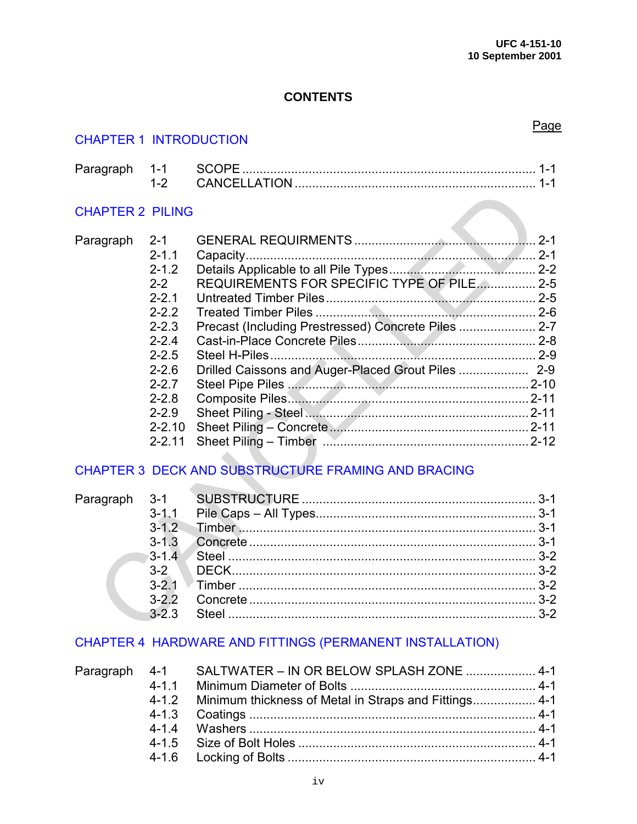#### **CONTENTS**

# **CHAPTER 1 INTRODUCTION**

|  | $'$ NICELLAT. |  |
|--|---------------|--|

#### **CHAPTER 2 PILING**

| Paragraph | $2 - 1$    |                                            |           |
|-----------|------------|--------------------------------------------|-----------|
|           | $2 - 1.1$  |                                            |           |
|           | $2 - 1.2$  |                                            |           |
|           | $2 - 2$    | REQUIREMENTS FOR SPECIFIC TYPE OF PILE 2-5 |           |
|           | $2 - 2.1$  |                                            |           |
|           | $2 - 2.2$  |                                            |           |
|           | $2 - 2.3$  |                                            |           |
|           | $2 - 2.4$  |                                            |           |
|           | $2 - 2.5$  |                                            |           |
|           | $2 - 2.6$  |                                            |           |
|           | $2 - 2.7$  |                                            | $.2 - 10$ |
|           | $2 - 2.8$  |                                            |           |
|           | $2 - 2.9$  |                                            |           |
|           | $2 - 2.10$ |                                            |           |
|           | $2 - 2.11$ |                                            |           |
|           |            |                                            |           |

# CHAPTER 3 DECK AND SUBSTRUCTURE FRAMING AND BRACING

 $\overline{\phantom{a}}$ 

| $-3-2.3$ |  |
|----------|--|

#### CHAPTER 4 HARDWARE AND FITTINGS (PERMANENT INSTALLATION)

|  | Paragraph 4-1 SALTWATER - IN OR BELOW SPLASH ZONE  4-1      |  |
|--|-------------------------------------------------------------|--|
|  |                                                             |  |
|  | 4-1.2 Minimum thickness of Metal in Straps and Fittings 4-1 |  |
|  |                                                             |  |
|  |                                                             |  |
|  |                                                             |  |
|  |                                                             |  |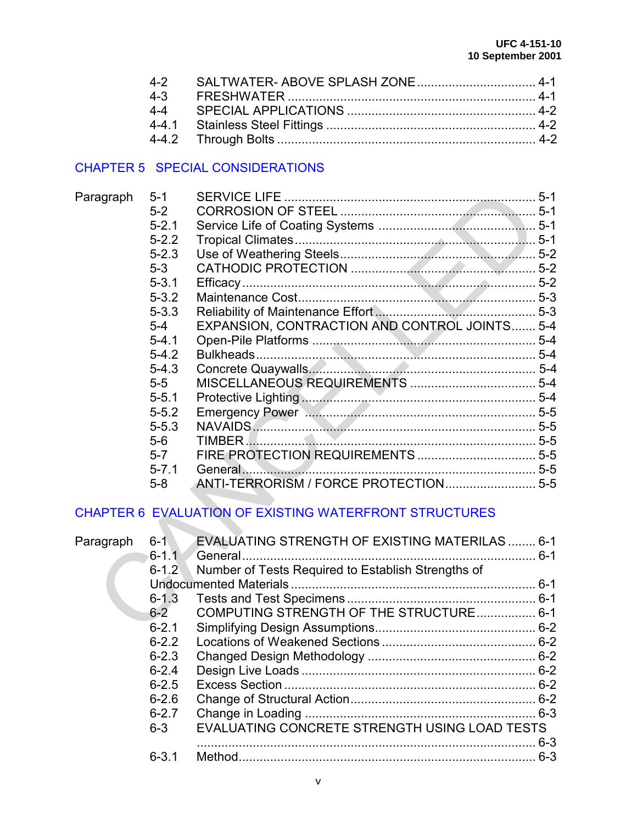# CHAPTER [5 SPECIAL CONSIDERATIONS](#page-24-0)

| Paragraph | $5 - 1$   |                                                               |  |
|-----------|-----------|---------------------------------------------------------------|--|
|           | $5-2$     |                                                               |  |
|           | $5 - 2.1$ |                                                               |  |
|           | $5 - 2.2$ |                                                               |  |
|           | $5 - 2.3$ |                                                               |  |
|           | $5-3$     |                                                               |  |
|           | $5 - 3.1$ |                                                               |  |
|           | $5 - 3.2$ |                                                               |  |
|           | $5 - 3.3$ |                                                               |  |
|           | $5-4$     | EXPANSION, CONTRACTION AND CONTROL JOINTS 5-4                 |  |
|           | $5-4.1$   |                                                               |  |
|           | $5-4.2$   |                                                               |  |
|           | $5 - 4.3$ |                                                               |  |
|           | $5-5$     |                                                               |  |
|           | $5 - 5.1$ |                                                               |  |
|           | $5 - 5.2$ |                                                               |  |
|           | $5 - 5.3$ | NAVAIDS 5-5                                                   |  |
|           | $5-6$     |                                                               |  |
|           | $5-7$     |                                                               |  |
|           | $5 - 7.1$ |                                                               |  |
|           | $5-8$     | ANTI-TERRORISM / FORCE PROTECTION 5-5                         |  |
|           |           | <b>CHAPTER 6 EVALUATION OF EXISTING WATERFRONT STRUCTURES</b> |  |
| Paragraph | $6-1$     | EVALUATING STRENGTH OF EXISTING MATERILAS  6-1                |  |
|           | $6 - 1.1$ |                                                               |  |
|           | $6 - 1.2$ | Number of Tests Required to Establish Strengths of            |  |
|           |           |                                                               |  |
|           | $6 - 1.3$ |                                                               |  |
|           | $6-2$     | COMPUTING STRENGTH OF THE STRUCTURE 6-1                       |  |
|           | $6 - 2.1$ |                                                               |  |

# CHAPTER 6 EVALUATION OF EXISTING WATERFRONT STRUCTURES

| Paragraph | $6-1$<br>$6 - 1.1$ | <b>EVALUATING STRENGTH OF EXISTING MATERILAS  6-1</b> |  |
|-----------|--------------------|-------------------------------------------------------|--|
|           | $6 - 1.2$          | Number of Tests Required to Establish Strengths of    |  |
|           |                    |                                                       |  |
|           | $6 - 1.3$          |                                                       |  |
|           | $6 - 2$            | COMPUTING STRENGTH OF THE STRUCTURE 6-1               |  |
|           | $6 - 2.1$          |                                                       |  |
|           | $6 - 2.2$          |                                                       |  |
|           | $6 - 2.3$          |                                                       |  |
|           | $6 - 2.4$          |                                                       |  |
|           | $6 - 2.5$          |                                                       |  |
|           | $6 - 2.6$          |                                                       |  |
|           | $6 - 2.7$          |                                                       |  |
|           | $6 - 3$            | EVALUATING CONCRETE STRENGTH USING LOAD TESTS         |  |
|           |                    |                                                       |  |
|           | $6 - 3.1$          |                                                       |  |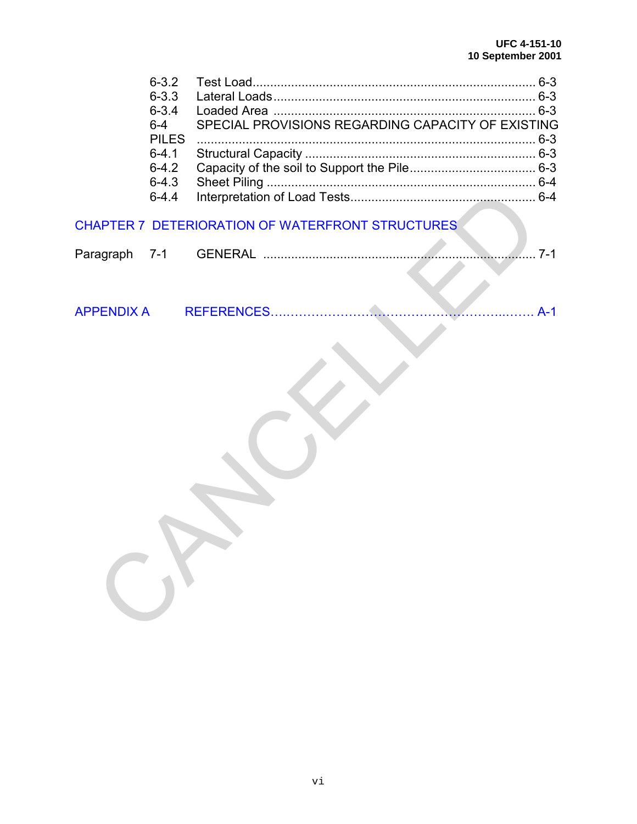|            | $6 - 3.2$<br>$6 - 3.3$<br>$6 - 3.4$<br>$6-4$<br><b>PILES</b><br>$6 - 4.1$<br>$6 - 4.2$<br>$6 - 4.3$<br>$6-4.4$ | SPECIAL PROVISIONS REGARDING CAPACITY OF EXISTING       |
|------------|----------------------------------------------------------------------------------------------------------------|---------------------------------------------------------|
|            |                                                                                                                | <b>CHAPTER 7 DETERIORATION OF WATERFRONT STRUCTURES</b> |
| Paragraph  | 7-1                                                                                                            | 7-1                                                     |
| APPENDIX A |                                                                                                                | <b>REFERENCES</b>                                       |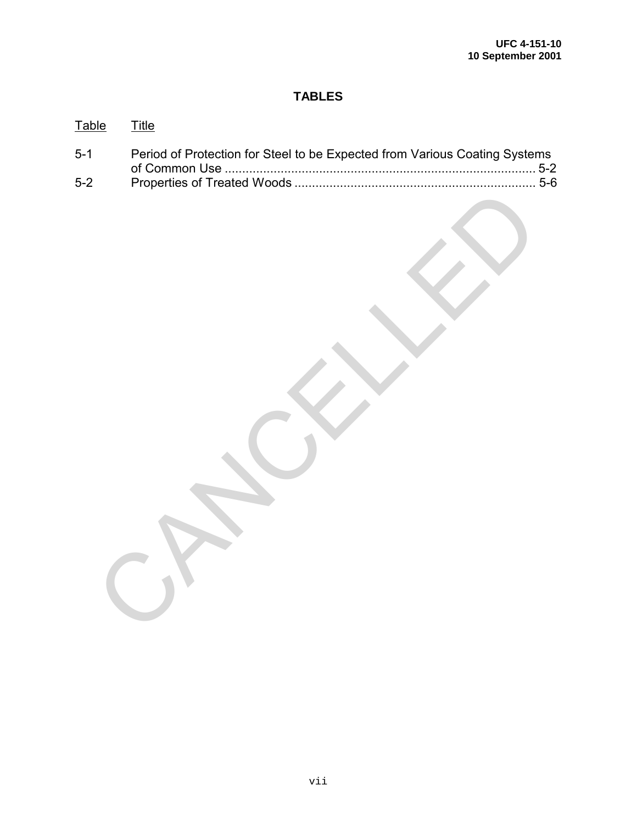# **TABLES**

| <u>Table</u> | <u>Title</u>                                                               |
|--------------|----------------------------------------------------------------------------|
| $5-1$        | Period of Protection for Steel to be Expected from Various Coating Systems |
| $5-2$        | $5-6$                                                                      |
|              |                                                                            |
|              |                                                                            |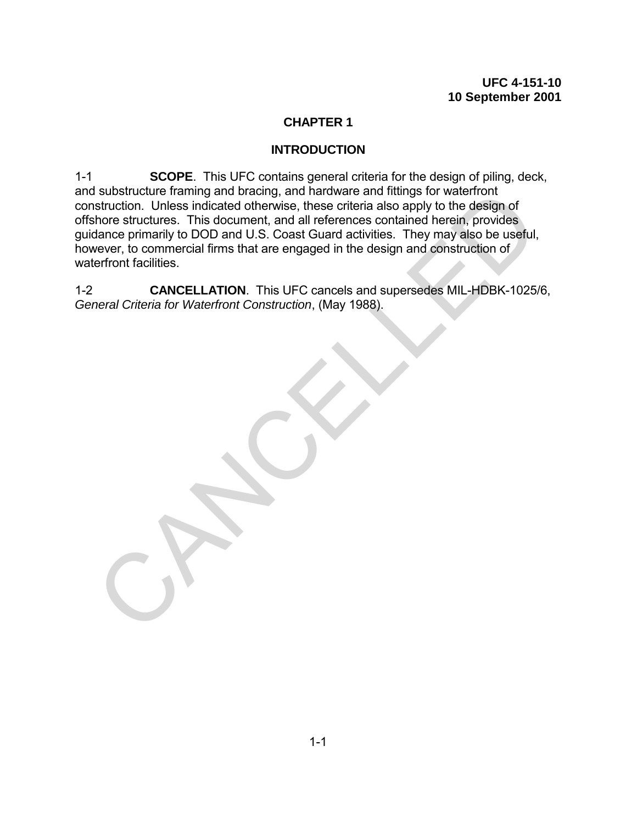# **CHAPTER 1**

#### **INTRODUCTION**

<span id="page-7-0"></span>1-1 **SCOPE**. This UFC contains general criteria for the design of piling, deck, and substructure framing and bracing, and hardware and fittings for waterfront construction. Unless indicated otherwise, these criteria also apply to the design of offshore structures. This document, and all references contained herein, provides guidance primarily to DOD and U.S. Coast Guard activities. They may also be useful, however, to commercial firms that are engaged in the design and construction of waterfront facilities. substruction. Unless indicated of herwise, these criteria also apply to the design of<br>struction. Unless indicated of herwise, these criteria also apply to the design of<br>hore structures. This document, and all references co

1-2 **CANCELLATION**. This UFC cancels and supersedes MIL-HDBK-1025/6, *General Criteria for Waterfront Construction*, (May 1988).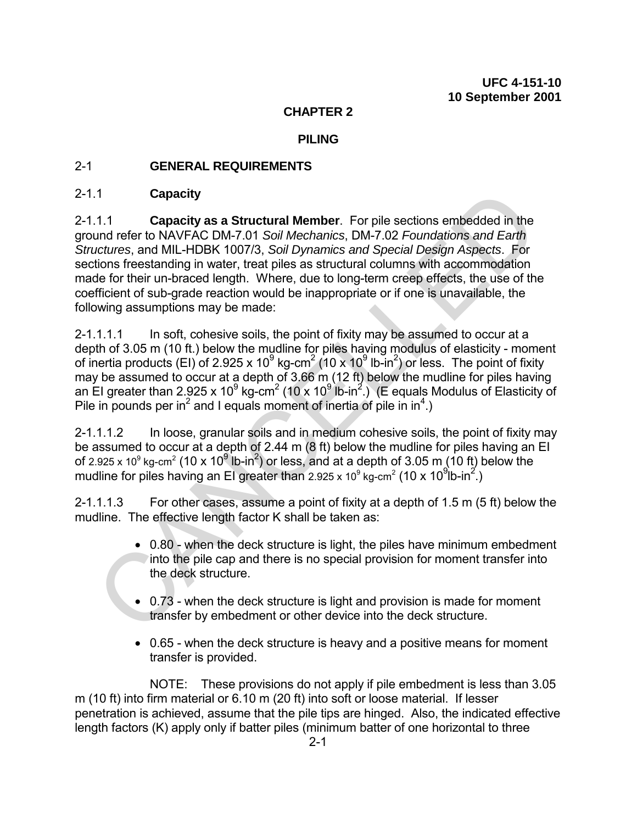#### **CHAPTER 2**

#### **PILING**

#### <span id="page-8-0"></span>2-1 **GENERAL REQUIREMENTS**

#### 2-1.1 **Capacity**

2-1.1.1 **Capacity as a Structural Member**. For pile sections embedded in the ground refer to NAVFAC DM-7.01 *Soil Mechanics*, DM-7.02 *Foundations and Earth Structures*, and MIL-HDBK 1007/3, *Soil Dynamics and Special Design Aspects*. For sections freestanding in water, treat piles as structural columns with accommodation made for their un-braced length. Where, due to long-term creep effects, the use of the coefficient of sub-grade reaction would be inappropriate or if one is unavailable, the following assumptions may be made: CANCELL[ED](#page-35-0)

2-1.1.1.1 In soft, cohesive soils, the point of fixity may be assumed to occur at a depth of 3.05 m (10 ft.) below the mudline for piles having modulus of elasticity - moment of inertia products (EI) of 2.925 x 10<sup>9</sup> kg-cm<sup>2</sup> (10 x 10<sup>9</sup> lb-in<sup>2</sup>) or less. The point of fixity may be assumed to occur at a depth of 3.66 m (12 ft) below the mudline for piles having an EI greater than 2.925 x 10<sup>9</sup> kg-cm<sup>2</sup> (10 x 10<sup>9</sup> lb-in<sup>2</sup>.) (E equals Modulus of Elasticity of Pile in pounds per in<sup>2</sup> and I equals moment of inertia of pile in in<sup>4</sup>.)

2-1.1.1.2 In loose, granular soils and in medium cohesive soils, the point of fixity may be assumed to occur at a depth of 2.44 m (8 ft) below the mudline for piles having an EI of 2.925 x 10<sup>9</sup> kg-cm<sup>2</sup> (10 x 10<sup>9</sup> lb-in<sup>2</sup>) or less, and at a depth of 3.05 m (10 ft) below the mudline for piles having an EI greater than 2.925 x 10<sup>9</sup> kg-cm<sup>2</sup> (10 x 10<sup>9</sup>lb-in<sup>2</sup>.)

2-1.1.1.3 For other cases, assume a point of fixity at a depth of 1.5 m (5 ft) below the mudline. The effective length factor K shall be taken as:

- 0.80 when the deck structure is light, the piles have minimum embedment into the pile cap and there is no special provision for moment transfer into the deck structure.
- 0.73 when the deck structure is light and provision is made for moment transfer by embedment or other device into the deck structure.
- 0.65 when the deck structure is heavy and a positive means for moment transfer is provided.

 NOTE: These provisions do not apply if pile embedment is less than 3.05 m (10 ft) into firm material or 6.10 m (20 ft) into soft or loose material. If lesser penetration is achieved, assume that the pile tips are hinged. Also, the indicated effective length factors (K) apply only if batter piles (minimum batter of one horizontal to three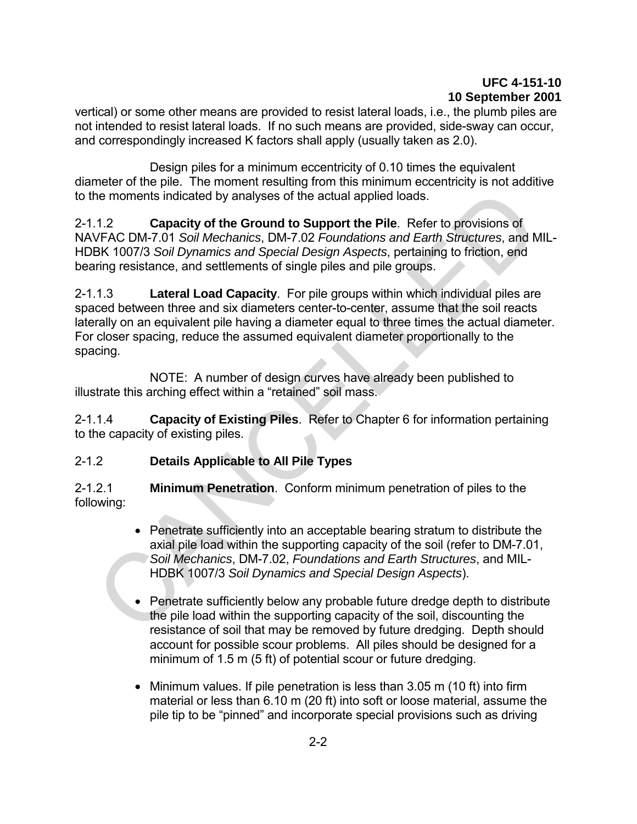vertical) or some other means are provided to resist lateral loads, i.e., the plumb piles are not intended to resist lateral loads. If no such means are provided, side-sway can occur, and correspondingly increased K factors shall apply (usually taken as 2.0).

 Design piles for a minimum eccentricity of 0.10 times the equivalent diameter of the pile. The moment resulting from this minimum eccentricity is not additive to the moments indicated by analyses of the actual applied loads.

2-1.1.2 **Capacity of the Ground to Support the Pile**. Refer to provisions of NAVFAC DM-7.01 *Soil Mechanics*, DM-7.02 *Foundations and Earth Structures*, and MIL-HDBK 1007/3 *Soil Dynamics and Special Design Aspects*, pertaining to friction, end bearing resistance, and settlements of single piles and pile groups.

2-1.1.3 **Lateral Load Capacity**. For pile groups within which individual piles are spaced between three and six diameters center-to-center, assume that the soil reacts laterally on an equivalent pile having a diameter equal to three times the actual diameter. For closer spacing, reduce the assumed equivalent diameter proportionally to the spacing. ne moments indicated by analyses of the actual applied loads.<br>
1.2 **Capacity of the Ground to Support the Pile**. Refer to provisions of<br>
VFRC DM-7.01 Soil Mechanics, DM-7.02 Foundations and [E](#page-30-0)arth Structures, and<br>
BK 1007.3

NOTE: A number of design curves have already been published to illustrate this arching effect within a "retained" soil mass.

2-1.1.4 **Capacity of Existing Piles**. Refer to Chapter 6 for information pertaining to the capacity of existing piles.

# 2-1.2 **Details Applicable to All Pile Types**

2-1.2.1 **Minimum Penetration**. Conform minimum penetration of piles to the following:

- Penetrate sufficiently into an acceptable bearing stratum to distribute the axial pile load within the supporting capacity of the soil (refer to DM-7.01, *Soil Mechanics*, DM-7.02, *Foundations and Earth Structures*, and MIL-HDBK 1007/3 *Soil Dynamics and Special Design Aspects*).
- Penetrate sufficiently below any probable future dredge depth to distribute the pile load within the supporting capacity of the soil, discounting the resistance of soil that may be removed by future dredging. Depth should account for possible scour problems. All piles should be designed for a minimum of 1.5 m (5 ft) of potential scour or future dredging.
- Minimum values. If pile penetration is less than 3.05 m (10 ft) into firm material or less than 6.10 m (20 ft) into soft or loose material, assume the pile tip to be "pinned" and incorporate special provisions such as driving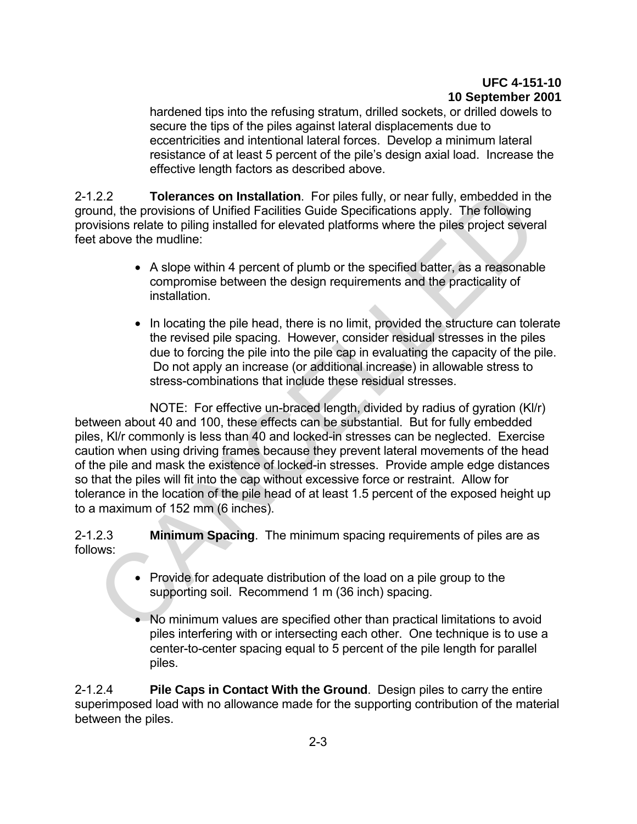hardened tips into the refusing stratum, drilled sockets, or drilled dowels to secure the tips of the piles against lateral displacements due to eccentricities and intentional lateral forces. Develop a minimum lateral resistance of at least 5 percent of the pile's design axial load. Increase the effective length factors as described above.

2-1.2.2 **Tolerances on Installation**. For piles fully, or near fully, embedded in the ground, the provisions of Unified Facilities Guide Specifications apply. The following provisions relate to piling installed for elevated platforms where the piles project several feet above the mudline:

- A slope within 4 percent of plumb or the specified batter, as a reasonable compromise between the design requirements and the practicality of installation.
- In locating the pile head, there is no limit, provided the structure can tolerate the revised pile spacing. However, consider residual stresses in the piles due to forcing the pile into the pile cap in evaluating the capacity of the pile. Do not apply an increase (or additional increase) in allowable stress to stress-combinations that include these residual stresses.

 NOTE: For effective un-braced length, divided by radius of gyration (Kl/r) between about 40 and 100, these effects can be substantial. But for fully embedded piles, Kl/r commonly is less than 40 and locked-in stresses can be neglected. Exercise caution when using driving frames because they prevent lateral movements of the head of the pile and mask the existence of locked-in stresses. Provide ample edge distances so that the piles will fit into the cap without excessive force or restraint. Allow for tolerance in the location of the pile head of at least 1.5 percent of the exposed height up to a maximum of 152 mm (6 inches). 22 **Tolerances on Installation**. For piles fully, or near fully, embedded in that provisions of Unified Facilities Guide Specifications apply. The following<br>usions relate to pliing installation care electrons apply. The f

2-1.2.3 **Minimum Spacing**. The minimum spacing requirements of piles are as follows:

- Provide for adequate distribution of the load on a pile group to the supporting soil. Recommend 1 m (36 inch) spacing.
- No minimum values are specified other than practical limitations to avoid piles interfering with or intersecting each other. One technique is to use a center-to-center spacing equal to 5 percent of the pile length for parallel piles.

2-1.2.4 **Pile Caps in Contact With the Ground**. Design piles to carry the entire superimposed load with no allowance made for the supporting contribution of the material between the piles.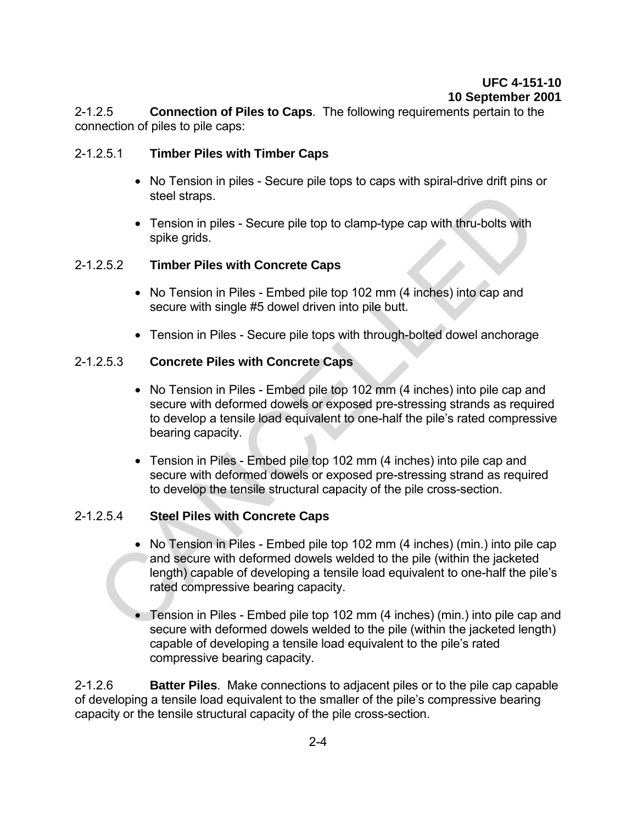2-1.2.5 **Connection of Piles to Caps**. The following requirements pertain to the connection of piles to pile caps:

#### 2-1.2.5.1 **Timber Piles with Timber Caps**

- No Tension in piles Secure pile tops to caps with spiral-drive drift pins or steel straps.
- Tension in piles Secure pile top to clamp-type cap with thru-bolts with spike grids.

#### 2-1.2.5.2 **Timber Piles with Concrete Caps**

- No Tension in Piles Embed pile top 102 mm (4 inches) into cap and secure with single #5 dowel driven into pile butt.
- Tension in Piles Secure pile tops with through-bolted dowel anchorage

#### 2-1.2.5.3 **Concrete Piles with Concrete Caps**

- No Tension in Piles Embed pile top 102 mm (4 inches) into pile cap and secure with deformed dowels or exposed pre-stressing strands as required to develop a tensile load equivalent to one-half the pile's rated compressive bearing capacity.
- Tension in Piles Embed pile top 102 mm (4 inches) into pile cap and secure with deformed dowels or exposed pre-stressing strand as required to develop the tensile structural capacity of the pile cross-section.

#### 2-1.2.5.4 **Steel Piles with Concrete Caps**

- No Tension in Piles Embed pile top 102 mm (4 inches) (min.) into pile cap and secure with deformed dowels welded to the pile (within the jacketed length) capable of developing a tensile load equivalent to one-half the pile's rated compressive bearing capacity. steel straps.<br>
• Tension in piles - Secure pile top to clamp-type cap with thru-botts with<br>
spike grids.<br>
• Timber Piles with Concrete Caps<br>
• No Tension in Piles - Embed pile top 102 mm (4 inches) into cap and<br>
secure wit
	- Tension in Piles Embed pile top 102 mm (4 inches) (min.) into pile cap and secure with deformed dowels welded to the pile (within the jacketed length) capable of developing a tensile load equivalent to the pile's rated compressive bearing capacity.

2-1.2.6 **Batter Piles**. Make connections to adjacent piles or to the pile cap capable of developing a tensile load equivalent to the smaller of the pile's compressive bearing capacity or the tensile structural capacity of the pile cross-section.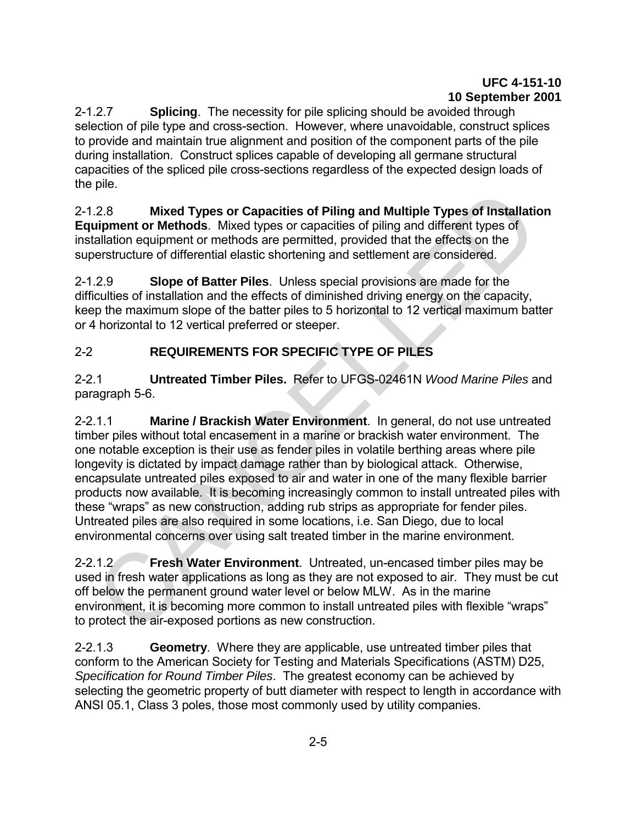2-1.2.7 **Splicing**. The necessity for pile splicing should be avoided through selection of pile type and cross-section. However, where unavoidable, construct splices to provide and maintain true alignment and position of the component parts of the pile during installation. Construct splices capable of developing all germane structural capacities of the spliced pile cross-sections regardless of the expected design loads of the pile.

#### 2-1.2.8 **Mixed Types or Capacities of Piling and Multiple Types of Installation Equipment or Methods**. Mixed types or capacities of piling and different types of installation equipment or methods are permitted, provided that the effects on the superstructure of differential elastic shortening and settlement are considered.

2-1.2.9 **Slope of Batter Piles**. Unless special provisions are made for the difficulties of installation and the effects of diminished driving energy on the capacity, keep the maximum slope of the batter piles to 5 horizontal to 12 vertical maximum batter or 4 horizontal to 12 vertical preferred or steeper.

# 2-2 **REQUIREMENTS FOR SPECIFIC TYPE OF PILES**

2-2.1 **Untreated Timber Piles.** Refer to UFGS-02461N *Wood Marine Piles* and paragraph 5-6.

2-2.1.1 **Marine / Brackish Water Environment**. In general, do not use untreated timber piles without total encasement in a marine or brackish water environment. The one notable exception is their use as fender piles in volatile berthing areas where pile longevity is dictated by impact damage rather than by biological attack. Otherwise, encapsulate untreated piles exposed to air and water in one of the many flexible barrier products now available. It is becoming increasingly common to install untreated piles with these "wraps" as new construction, adding rub strips as appropriate for fender piles. Untreated piles are also required in some locations, i.e. San Diego, due to local environmental concerns over using salt treated timber in the marine environment. 2.8 **Mixed Types or Capacities of Piling and Multiple Types of Installati<br>
2.8 Mixed Types or capacities of Piling and Multiple Types of Installati<br>
calibron equiment or methods are permitted, provided that the effects on** 

2-2.1.2 **Fresh Water Environment**. Untreated, un-encased timber piles may be used in fresh water applications as long as they are not exposed to air. They must be cut off below the permanent ground water level or below MLW. As in the marine environment, it is becoming more common to install untreated piles with flexible "wraps" to protect the air-exposed portions as new construction.

2-2.1.3 **Geometry**. Where they are applicable, use untreated timber piles that conform to the American Society for Testing and Materials Specifications [\(ASTM\) D25,](#page-37-0) *[Specification for Round Timber Piles](#page-37-0)*. The greatest economy can be achieved by selecting the geometric property of butt diameter with respect to length in accordance with ANSI 05.1, Class 3 poles, those most commonly used by utility companies.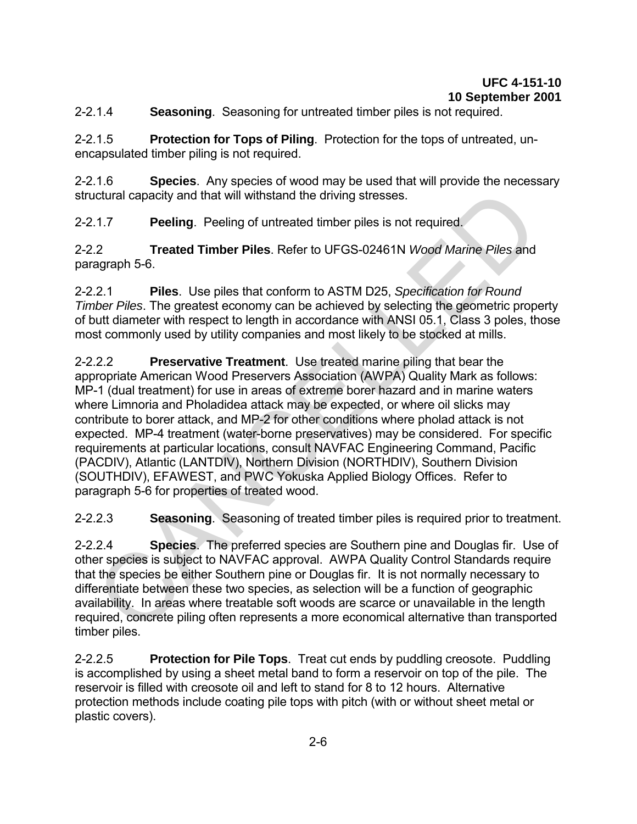<span id="page-13-0"></span>2-2.1.4 **Seasoning**. Seasoning for untreated timber piles is not required.

2-2.1.5 **Protection for Tops of Piling**. Protection for the tops of untreated, unencapsulated timber piling is not required.

2-2.1.6 **Species**. Any species of wood may be used that will provide the necessary structural capacity and that will withstand the driving stresses.

2-2.1.7 **Peeling**. Peeling of untreated timber piles is not required.

2-2.2 **Treated Timber Piles**. Refer to UFGS-02461N *Wood Marine Piles* and paragraph 5-6.

2-2.2.1 **Piles**. Use piles that conform to ASTM D25, *Specification for Round Timber Piles*. The greatest economy can be achieved by selecting the geometric property of butt diameter with respect to length in accordance with ANSI 05.1, Class 3 poles, those most commonly used by utility companies and most likely to be stocked at mills.

2-2.2.2 **Preservative Treatment**. Use treated marine piling that bear the appropriate American Wood Preservers Association (AWPA) Quality Mark as follows: MP-1 (dual treatment) for use in areas of extreme borer hazard and in marine waters where Limnoria and Pholadidea attack may be expected, or where oil slicks may contribute to borer attack, and MP-2 for other conditions where pholad attack is not expected. MP-4 treatment (water-borne preservatives) may be considered. For specific requirements at particular locations, consult NAVFAC Engineering Command, Pacific (PACDIV), Atlantic (LANTDIV), Northern Division (NORTHDIV), Southern Division (SOUTHDIV), EFAWEST, and PWC Yokuska Applied Biology Offices. Refer to [paragraph 5-6](#page-28-0) for properties of treated wood. 1.77 **Peeling.** Peeling of unterated the driving stresses.<br>
1.7 **Peeling.** Peeling of untreated timber piles is not required.<br>
2.2 **Treated Timber Piles**. Refer to UFGS-02461N *Wood Marine Piles* and<br>
2.2 **Treated Timber P** 

2-2.2.3 **Seasoning**. Seasoning of treated timber piles is required prior to treatment.

2-2.2.4 **Species**. The preferred species are Southern pine and Douglas fir. Use of other species is subject to NAVFAC approval. AWPA Quality Control Standards require that the species be either Southern pine or Douglas fir. It is not normally necessary to differentiate between these two species, as selection will be a function of geographic availability. In areas where treatable soft woods are scarce or unavailable in the length required, concrete piling often represents a more economical alternative than transported timber piles.

2-2.2.5 **Protection for Pile Tops**. Treat cut ends by puddling creosote. Puddling is accomplished by using a sheet metal band to form a reservoir on top of the pile. The reservoir is filled with creosote oil and left to stand for 8 to 12 hours. Alternative protection methods include coating pile tops with pitch (with or without sheet metal or plastic covers).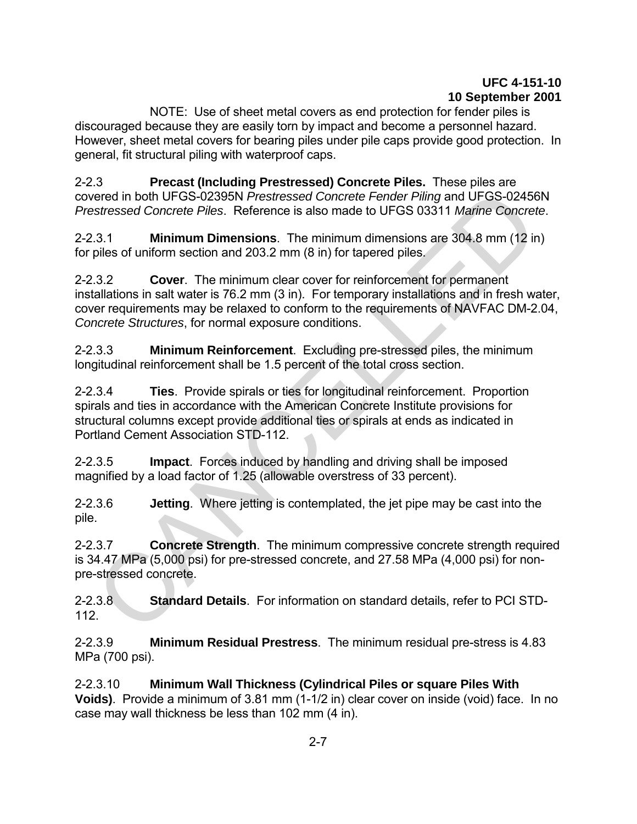NOTE: Use of sheet metal covers as end protection for fender piles is discouraged because they are easily torn by impact and become a personnel hazard. However, sheet metal covers for bearing piles under pile caps provide good protection. In general, fit structural piling with waterproof caps.

2-2.3 **Precast (Including Prestressed) Concrete Piles.** These piles are covered in both UFGS-02395N *Prestressed Concrete Fender Piling* and UFGS-02456N *Prestressed Concrete Piles*. Reference is also made to UFGS 03311 *Marine Concrete*.

2-2.3.1 **Minimum Dimensions**. The minimum dimensions are 304.8 mm (12 in) for piles of uniform section and 203.2 mm (8 in) for tapered piles.

2-2.3.2 **Cover**. The minimum clear cover for reinforcement for permanent installations in salt water is 76.2 mm (3 in). For temporary installations and in fresh water, cover requirements may be relaxed to conform to the requirements of NAVFAC DM-2.04, *[Concrete Structures](#page-35-0)*, for normal exposure conditions. ered in both UFGS-02395N *Prestressed Concrete Fender Piling* and UFGS-02456<br> *Stressed Concrete Piles.* Reference is also made to UFGS 03311 *Marine Concret*<br>
2.1<br>
2.1 **Minimum Dimensions.** The minimum dimensions are 304.

2-2.3.3 **Minimum Reinforcement**. Excluding pre-stressed piles, the minimum longitudinal reinforcement shall be 1.5 percent of the total cross section.

2-2.3.4 **Ties**. Provide spirals or ties for longitudinal reinforcement. Proportion spirals and ties in accordance with the American Concrete Institute provisions for structural columns except provide additional ties or spirals at ends as indicated in Portland Cement Association STD-112.

2-2.3.5 **Impact**. Forces induced by handling and driving shall be imposed magnified by a load factor of 1.25 (allowable overstress of 33 percent).

2-2.3.6 **Jetting**. Where jetting is contemplated, the jet pipe may be cast into the pile.

2-2.3.7 **Concrete Strength**. The minimum compressive concrete strength required is 34.47 MPa (5,000 psi) for pre-stressed concrete, and 27.58 MPa (4,000 psi) for nonpre-stressed concrete.

2-2.3.8 **Standard Details**. For information on standard details, refer to PCI STD-112.

2-2.3.9 **Minimum Residual Prestress**. The minimum residual pre-stress is 4.83 MPa (700 psi).

2-2.3.10 **Minimum Wall Thickness (Cylindrical Piles or square Piles With Voids)**. Provide a minimum of 3.81 mm (1-1/2 in) clear cover on inside (void) face. In no case may wall thickness be less than 102 mm (4 in).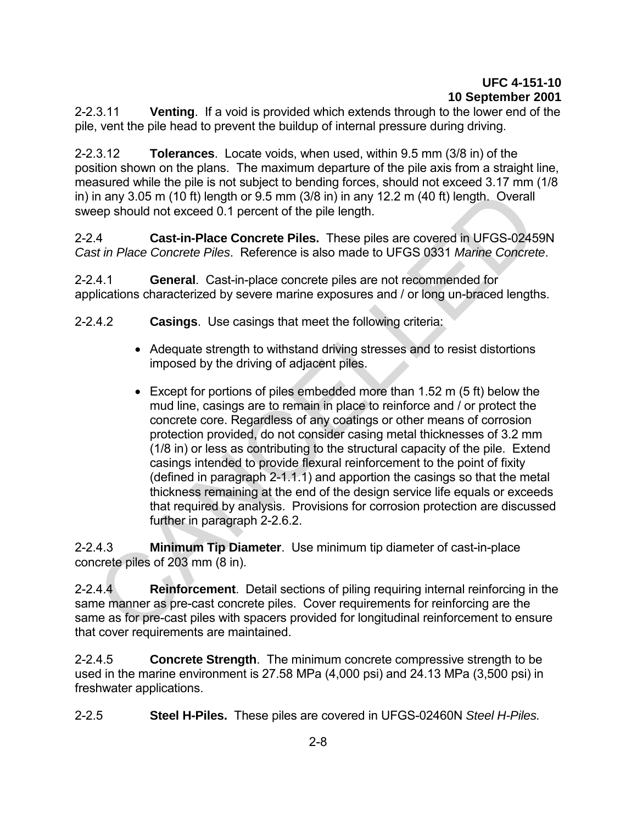<span id="page-15-0"></span>2-2.3.11 **Venting**. If a void is provided which extends through to the lower end of the pile, vent the pile head to prevent the buildup of internal pressure during driving.

2-2.3.12 **Tolerances**. Locate voids, when used, within 9.5 mm (3/8 in) of the position shown on the plans. The maximum departure of the pile axis from a straight line, measured while the pile is not subject to bending forces, should not exceed 3.17 mm (1/8 in) in any 3.05 m (10 ft) length or 9.5 mm (3/8 in) in any 12.2 m (40 ft) length. Overall sweep should not exceed 0.1 percent of the pile length.

2-2.4 **Cast-in-Place Concrete Piles.** These piles are covered in UFGS-02459N *Cast in Place Concrete Piles*. Reference is also made to UFGS 0331 *Marine Concrete*.

2-2.4.1 **General**. Cast-in-place concrete piles are not recommended for applications characterized by severe marine exposures and / or long un-braced lengths.

- 2-2.4.2 **Casings**. Use casings that meet the following criteria:
	- Adequate strength to withstand driving stresses and to resist distortions imposed by the driving of adjacent piles.
- Except for portions of piles embedded more than 1.52 m (5 ft) below the mud line, casings are to remain in place to reinforce and / or protect the concrete core. Regardless of any coatings or other means of corrosion protection provided, do not consider casing metal thicknesses of 3.2 mm (1/8 in) or less as contributing to the structural capacity of the pile. Extend casings intended to provide flexural reinforcement to the point of fixity (defined in paragraph 2-1.1.1) and apportion the casings so that the metal thickness remaining at the end of the design service life equals or exceeds that required by analysis. Provisions for corrosion protection are discussed further in paragraph 2-2.6.2. n any 3.05 m (10 ft) length or 9.5 mm (3/8 in) in any 12.2 m (40 ft) length. Overall<br>eye should not exceed 0.1 percent of the pile length.<br>A cast-in-Place [C](#page-8-0)oncrete Piles. These piles are covered in UFGS-0245<br>
it in Place C

2-2.4.3 **Minimum Tip Diameter**. Use minimum tip diameter of cast-in-place concrete piles of 203 mm (8 in).

2-2.4.4 **Reinforcement**. Detail sections of piling requiring internal reinforcing in the same manner as pre-cast concrete piles. Cover requirements for reinforcing are the same as for pre-cast piles with spacers provided for longitudinal reinforcement to ensure that cover requirements are maintained.

2-2.4.5 **Concrete Strength**. The minimum concrete compressive strength to be used in the marine environment is 27.58 MPa (4,000 psi) and 24.13 MPa (3,500 psi) in freshwater applications.

2-2.5 **Steel H-Piles.** These piles are covered in [UFGS-02460N](#page-35-0) *Steel H-Piles.*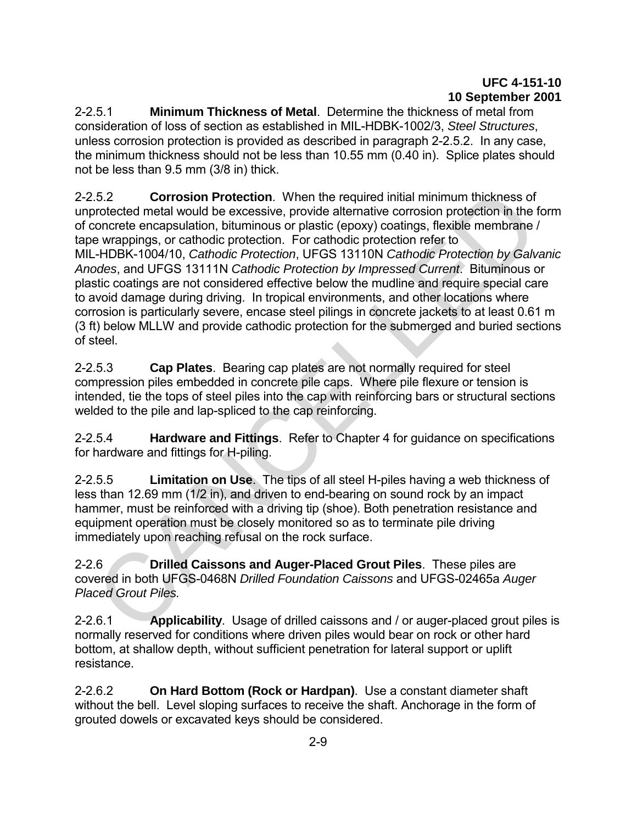<span id="page-16-0"></span>2-2.5.1 **Minimum Thickness of Metal**. Determine the thickness of metal from consideration of loss of section as established in [MIL-HDBK-1002/3,](#page-35-0) *Steel Structures*, unless corrosion protection is provided as described in paragraph 2-2.5.2. In any case, the minimum thickness should not be less than 10.55 mm (0.40 in). Splice plates should not be less than 9.5 mm (3/8 in) thick.

2-2.5.2 **Corrosion Protection**. When the required initial minimum thickness of unprotected metal would be excessive, provide alternative corrosion protection in the form of concrete encapsulation, bituminous or plastic (epoxy) coatings, flexible membrane / tape wrappings, or cathodic protection. For cathodic protection refer to MIL-HDBK-1004/10, *Cathodic Protection*, UFGS 13110N *Cathodic Protection by Galvanic Anodes*, and UFGS 13111N *Cathodic Protection by Impressed Current*. Bituminous or plastic coatings are not considered effective below the mudline and require special care to avoid damage during driving. In tropical environments, and other locations where corrosion is particularly severe, encase steel pilings in concrete jackets to at least 0.61 m (3 ft) below MLLW and provide cathodic protection for the submerged and buried sections of steel. 5.2 **Corrosion Protection**. When the required initial minimum thickness of concercle metal would be excessive, provide alternative corrosion protection in the term propines, or exacts (epoxy) coatings, flexible membrane is

2-2.5.3 **Cap Plates**. Bearing cap plates are not normally required for steel compression piles embedded in concrete pile caps. Where pile flexure or tension is intended, tie the tops of steel piles into the cap with reinforcing bars or structural sections welded to the pile and lap-spliced to the cap reinforcing.

2-2.5.4 **Hardware and Fittings**. Refer to Chapter 4 for guidance on specifications for hardware and fittings for H-piling.

2-2.5.5 **Limitation on Use**. The tips of all steel H-piles having a web thickness of less than 12.69 mm (1/2 in), and driven to end-bearing on sound rock by an impact hammer, must be reinforced with a driving tip (shoe). Both penetration resistance and equipment operation must be closely monitored so as to terminate pile driving immediately upon reaching refusal on the rock surface.

2-2.6 **Drilled Caissons and Auger-Placed Grout Piles**. These piles are covered in both UFGS-0468N *Drilled Foundation Caissons* and UFGS-02465a *Auger Placed Grout Piles.* 

2-2.6.1 **Applicability**. Usage of drilled caissons and / or auger-placed grout piles is normally reserved for conditions where driven piles would bear on rock or other hard bottom, at shallow depth, without sufficient penetration for lateral support or uplift resistance.

2-2.6.2 **On Hard Bottom (Rock or Hardpan)**. Use a constant diameter shaft without the bell. Level sloping surfaces to receive the shaft. Anchorage in the form of grouted dowels or excavated keys should be considered.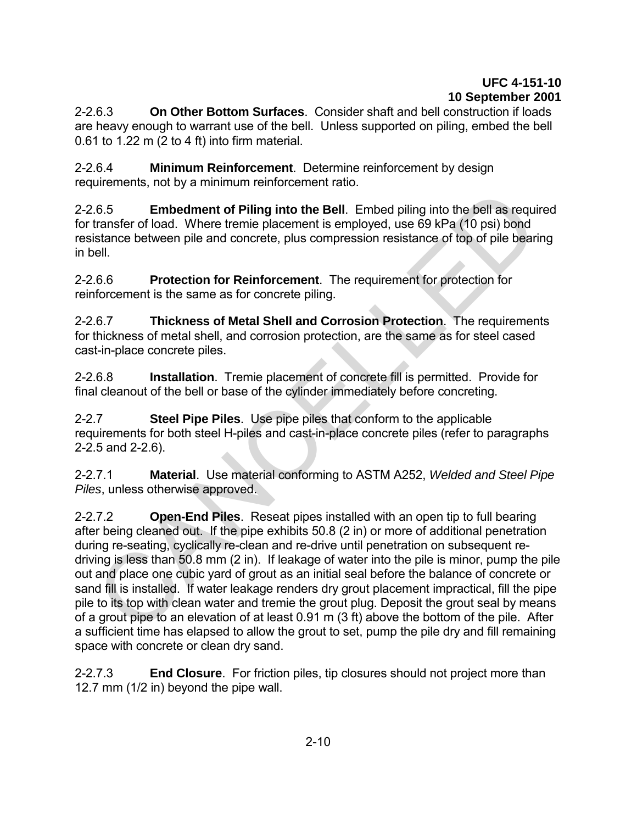2-2.6.3 **On Other Bottom Surfaces**. Consider shaft and bell construction if loads are heavy enough to warrant use of the bell. Unless supported on piling, embed the bell 0.61 to 1.22 m (2 to 4 ft) into firm material.

2-2.6.4 **Minimum Reinforcement**. Determine reinforcement by design requirements, not by a minimum reinforcement ratio.

2-2.6.5 **Embedment of Piling into the Bell**. Embed piling into the bell as required for transfer of load. Where tremie placement is employed, use 69 kPa (10 psi) bond resistance between pile and concrete, plus compression resistance of top of pile bearing in bell.

2-2.6.6 **Protection for Reinforcement**. The requirement for protection for reinforcement is the same as for concrete piling.

2-2.6.7 **Thickness of Metal Shell and Corrosion Protection**. The requirements for thickness of metal shell, and corrosion protection, are the same as for steel cased cast-in-place concrete piles.

2-2.6.8 **Installation**. Tremie placement of concrete fill is permitted. Provide for final cleanout of the bell or base of the cylinder immediately before concreting.

2-2.7 **Steel Pipe Piles**. Use pipe piles that conform to the applicable requirements for both steel H-piles and cast-in-place concrete piles (refer to paragraphs [2-2.5](#page-15-0) and 2-2.6).

2-2.7.1 **Material**. Use material conforming to ASTM A252, *Welded and Steel Pipe [Piles](#page-37-0)*, unless otherwise approved.

2-2.7.2 **Open-End Piles**. Reseat pipes installed with an open tip to full bearing after being cleaned out. If the pipe exhibits 50.8 (2 in) or more of additional penetration during re-seating, cyclically re-clean and re-drive until penetration on subsequent redriving is less than 50.8 mm (2 in). If leakage of water into the pile is minor, pump the pile out and place one cubic yard of grout as an initial seal before the balance of concrete or sand fill is installed. If water leakage renders dry grout placement impractical, fill the pipe pile to its top with clean water and tremie the grout plug. Deposit the grout seal by means of a grout pipe to an elevation of at least 0.91 m (3 ft) above the bottom of the pile. After a sufficient time has elapsed to allow the grout to set, pump the pile dry and fill remaining space with concrete or clean dry sand. 6.5 Embedment of Piling into the Bell. Embed pliing into the bell as required transfer of load. Where tremie placement is employed, use 69 kPa (10 psi) bond<br>stance between pile and concrete, plus compression resistance of

2-2.7.3 **End Closure**. For friction piles, tip closures should not project more than 12.7 mm (1/2 in) beyond the pipe wall.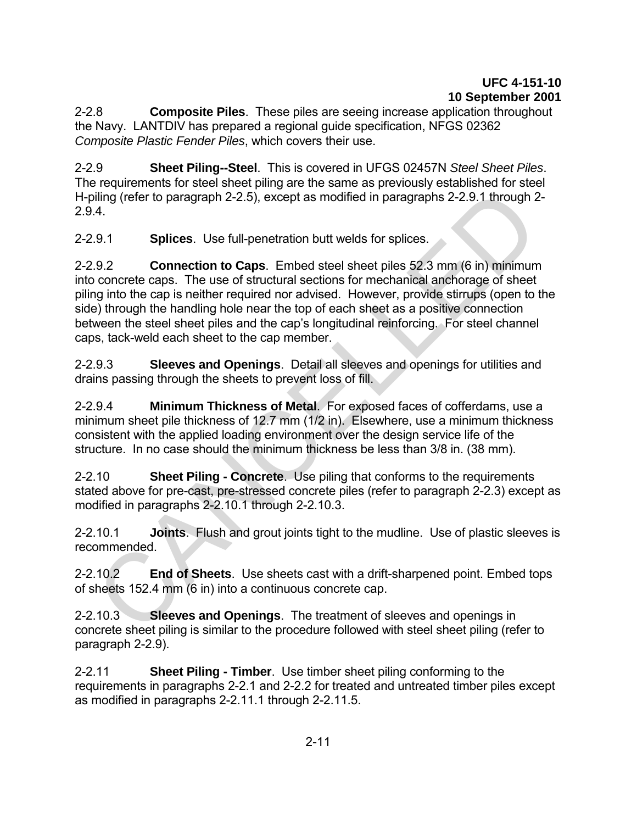2-2.8 **Composite Piles**. These piles are seeing increase application throughout the Navy. LANTDIV has prepared a regional guide specification, NFGS 02362 *Composite Plastic Fender Piles*, which covers their use.

2-2.9 **Sheet Piling--Steel**. This is covered in UFGS 02457N *[Steel Sheet Piles](#page-35-0)*. The requirements for steel sheet piling are the same as previously established for steel H-piling (refer to paragraph 2-2.5), except as modified in paragraphs 2-2.9.1 through 2- 2.9.4.

2-2.9.1 **Splices**. Use full-penetration butt welds for splices.

2-2.9.2 **Connection to Caps**. Embed steel sheet piles 52.3 mm (6 in) minimum into concrete caps. The use of structural sections for mechanical anchorage of sheet piling into the cap is neither required nor advised. However, provide stirrups (open to the side) through the handling hole near the top of each sheet as a positive connection between the steel sheet piles and the cap's longitudinal reinforcing. For steel channel caps, tack-weld each sheet to the cap member. iling (refer to paragraph 2-2.5), except as modified in paragraphs 2-2.9.1 through 2<br>4.<br>9.1 Splices. Use full-penetration butt welds for splices.<br>9.2 Connection to Caps. Embed steel sheet piles 62.3 mm (6 in) minimum<br>1.9.

2-2.9.3 **Sleeves and Openings**. Detail all sleeves and openings for utilities and drains passing through the sheets to prevent loss of fill.

2-2.9.4 **Minimum Thickness of Metal**. For exposed faces of cofferdams, use a minimum sheet pile thickness of 12.7 mm (1/2 in). Elsewhere, use a minimum thickness consistent with the applied loading environment over the design service life of the structure. In no case should the minimum thickness be less than 3/8 in. (38 mm).

2-2.10 **Sheet Piling - Concrete**. Use piling that conforms to the requirements stated above for pre-cast, pre-stressed concrete piles (refer to paragraph 2-2.3) except as modified in paragraphs 2-2.10.1 through 2-2.10.3.

2-2.10.1 **Joints**. Flush and grout joints tight to the mudline. Use of plastic sleeves is recommended.

2-2.10.2 **End of Sheets**. Use sheets cast with a drift-sharpened point. Embed tops of sheets 152.4 mm (6 in) into a continuous concrete cap.

2-2.10.3 **Sleeves and Openings**. The treatment of sleeves and openings in concrete sheet piling is similar to the procedure followed with steel sheet piling (refer to paragraph 2-2.9).

2-2.11 **Sheet Piling - Timber**. Use timber sheet piling conforming to the requirements in paragraphs [2-2.1 a](#page-13-0)nd [2-2.2 fo](#page-13-0)r treated and untreated timber piles except as modified in paragraphs 2-2.11.1 through 2-2.11.5.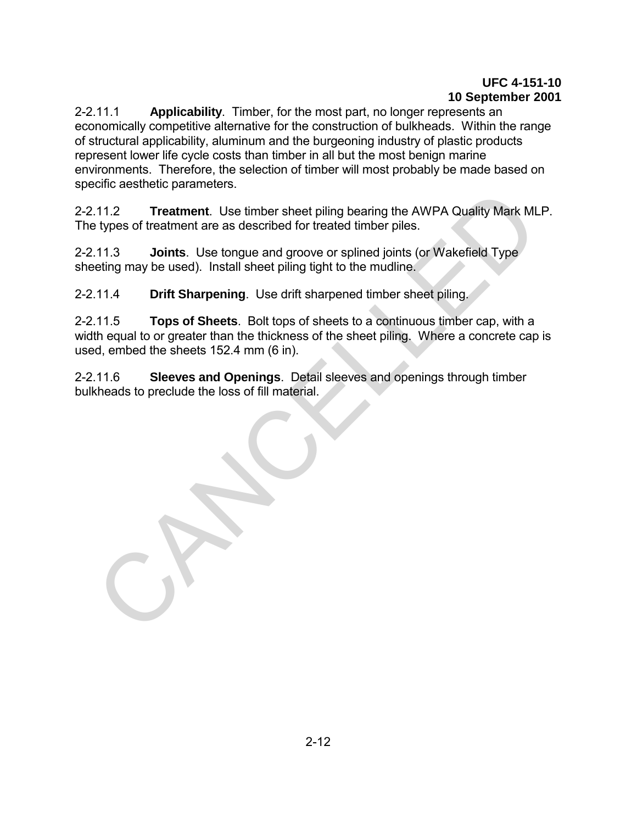2-2.11.1 **Applicability**. Timber, for the most part, no longer represents an economically competitive alternative for the construction of bulkheads. Within the range of structural applicability, aluminum and the burgeoning industry of plastic products represent lower life cycle costs than timber in all but the most benign marine environments. Therefore, the selection of timber will most probably be made based on specific aesthetic parameters.

2-2.11.2 **Treatment**. Use timber sheet piling bearing the AWPA Quality Mark MLP. The types of treatment are as described for treated timber piles.

2-2.11.3 **Joints**. Use tongue and groove or splined joints (or Wakefield Type sheeting may be used). Install sheet piling tight to the mudline.

2-2.11.4 **Drift Sharpening**. Use drift sharpened timber sheet piling.

2-2.11.5 **Tops of Sheets**. Bolt tops of sheets to a continuous timber cap, with a width equal to or greater than the thickness of the sheet piling. Where a concrete cap is used, embed the sheets 152.4 mm (6 in). 11.2 Treatment. Use timber sheet piling bearing the AWPA Quality Mark ML<br>types of treatment are as described for treated timber piles.<br>
11.3 **Joints**. Use tongue and groove or splined joints (or Wakefield Type<br>
eting may b

2-2.11.6 **Sleeves and Openings**. Detail sleeves and openings through timber bulkheads to preclude the loss of fill material.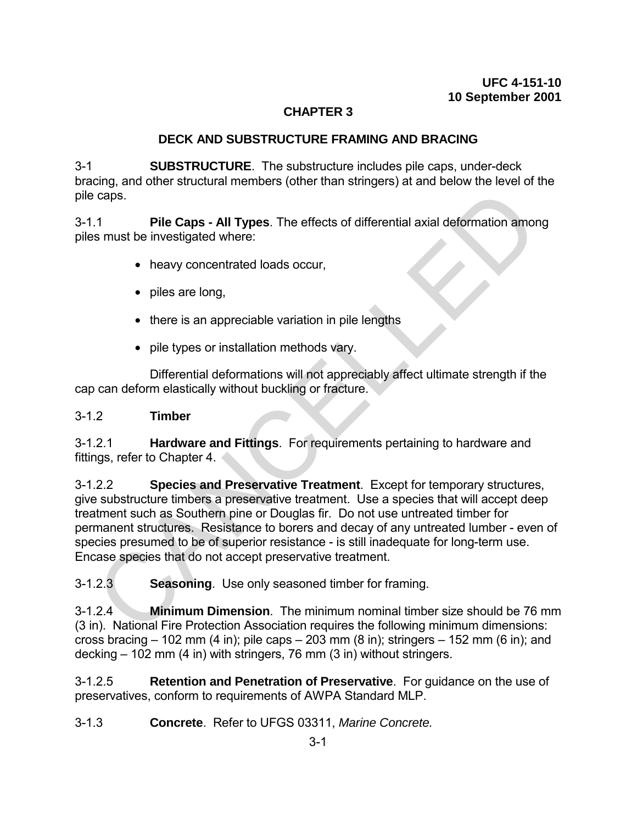#### **CHAPTER 3**

#### **DECK AND SUBSTRUCTURE FRAMING AND BRACING**

<span id="page-20-0"></span>3-1 **SUBSTRUCTURE**. The substructure includes pile caps, under-deck bracing, and other structural members (other than stringers) at and below the level of the pile caps.

3-1.1 **Pile Caps - All Types**. The effects of differential axial deformation among piles must be investigated where:

- heavy concentrated loads occur,
- piles are long,
- there is an appreciable variation in pile lengths
- pile types or installation methods vary.

 Differential deformations will not appreciably affect ultimate strength if the cap can deform elastically without buckling or fracture.

#### 3-1.2 **Timber**

3-1.2.1 **Hardware and Fittings**. For requirements pertaining to hardware and fittings, refer to Chapter 4.

3-1.2.2 **Species and Preservative Treatment**. Except for temporary structures, give substructure timbers a preservative treatment. Use a species that will accept deep treatment such as Southern pine or Douglas fir. Do not use untreated timber for permanent structures. Resistance to borers and decay of any untreated lumber - even of species presumed to be of superior resistance - is still inadequate for long-term use. Encase species that do not accept preservative treatment. caps.<br> **Pile Caps - All Types**. The effects of differential axial deformation amor<br>
smust be investigated where.<br>
• heavy concentrated loads occur,<br>
• piles are long,<br>
• there is an appreciable variation in pile lengths<br>
•

3-1.2.3 **Seasoning**. Use only seasoned timber for framing.

3-1.2.4 **Minimum Dimension**. The minimum nominal timber size should be 76 mm (3 in). National Fire Protection Association requires the following minimum dimensions: cross bracing  $-102$  mm (4 in); pile caps  $-203$  mm (8 in); stringers  $-152$  mm (6 in); and decking – 102 mm (4 in) with stringers, 76 mm (3 in) without stringers.

3-1.2.5 **Retention and Penetration of Preservative**. For guidance on the use of preservatives, conform to requirements of [AWPA Standard MLP.](#page-39-0) 

3-1.3 **Concrete**. Refer to UFGS 03311, *[Marine Concrete.](#page-35-0)*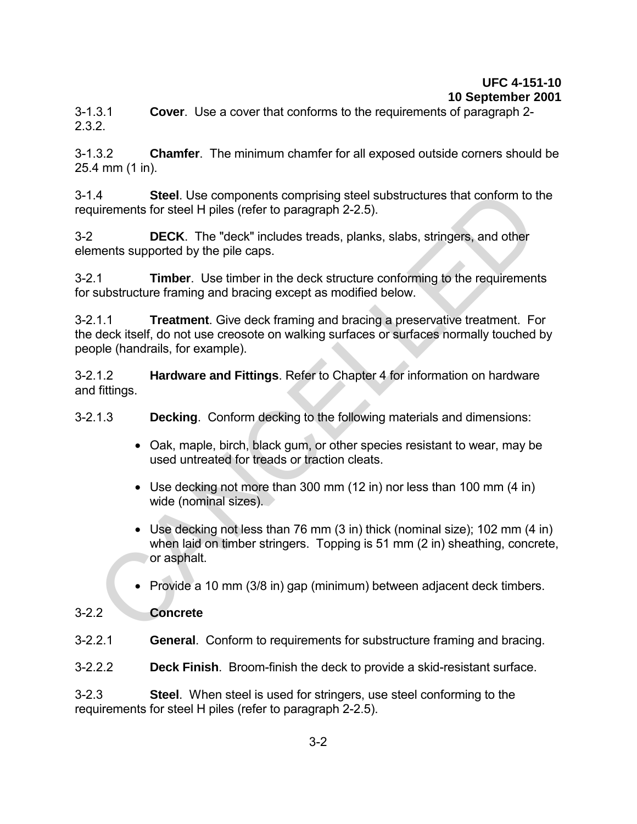3-1.3.1 **Cover**. Use a cover that conforms to the requirements of paragraph 2- 2.3.2.

3-1.3.2 **Chamfer**. The minimum chamfer for all exposed outside corners should be 25.4 mm (1 in).

3-1.4 **Steel**. Use components comprising steel substructures that conform to the requirements for steel H piles (refer to paragraph 2-2.5).

3-2 **DECK**. The "deck" includes treads, planks, slabs, stringers, and other elements supported by the pile caps.

3-2.1 **Timber**. Use timber in the deck structure conforming to the requirements for substructure framing and bracing except as modified below.

3-2.1.1 **Treatment**. Give deck framing and bracing a preservative treatment. For the deck itself, do not use creosote on walking surfaces or surfaces normally touched by people (handrails, for example). Steel. Use components comprising steel substructures that conform to the<br>
Direments for steel H piles (refer to paragraph 2-2.5).<br>
DECK. The "deck" includes treads, planks, slabs, stringers, and other<br>
nents supported by t

3-2.1.2 **Hardware and Fittings**. Refer to Chapter 4 for information on hardware and fittings.

3-2.1.3 **Decking**. Conform decking to the following materials and dimensions:

- Oak, maple, birch, black gum, or other species resistant to wear, may be used untreated for treads or traction cleats.
- Use decking not more than 300 mm (12 in) nor less than 100 mm (4 in) wide (nominal sizes).
- Use decking not less than 76 mm (3 in) thick (nominal size); 102 mm (4 in) when laid on timber stringers. Topping is 51 mm (2 in) sheathing, concrete, or asphalt.
- Provide a 10 mm (3/8 in) gap (minimum) between adjacent deck timbers.

# 3-2.2 **Concrete**

- 3-2.2.1 **General**. Conform to requirements for substructure framing and bracing.
- 3-2.2.2 **Deck Finish**. Broom-finish the deck to provide a skid-resistant surface.

3-2.3 **Steel**. When steel is used for stringers, use steel conforming to the requirements for steel H piles (refer to paragraph [2-2.5\).](#page-15-0)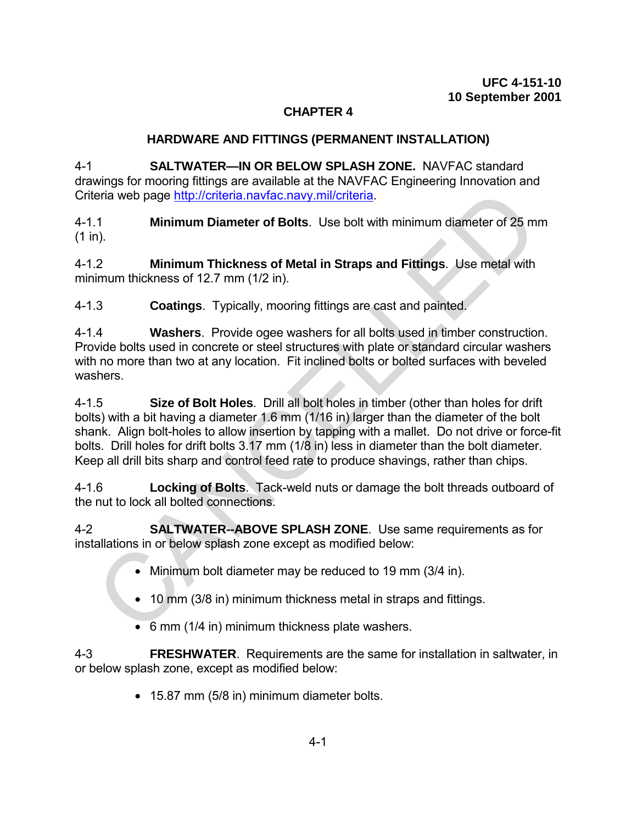#### **CHAPTER 4**

#### **HARDWARE AND FITTINGS (PERMANENT INSTALLATION)**

<span id="page-22-0"></span>4-1 **SALTWATER—IN OR BELOW SPLASH ZONE.** NAVFAC standard drawings for mooring fittings are available at the NAVFAC Engineering Innovation and Criteria web page http://criteria.navfac.navy.mil/criteria.

4-1.1 **Minimum Diameter of Bolts**. Use bolt with minimum diameter of 25 mm  $(1 in).$ 

4-1.2 **Minimum Thickness of Metal in Straps and Fittings**. Use metal with minimum thickness of 12.7 mm (1/2 in).

4-1.3 **Coatings**. Typically, mooring fittings are cast and painted.

4-1.4 **Washers**. Provide ogee washers for all bolts used in timber construction. Provide bolts used in concrete or steel structures with plate or standard circular washers with no more than two at any location. Fit inclined bolts or bolted surfaces with beveled washers.

4-1.5 **Size of Bolt Holes**. Drill all bolt holes in timber (other than holes for drift bolts) with a bit having a diameter 1.6 mm (1/16 in) larger than the diameter of the bolt shank. Align bolt-holes to allow insertion by tapping with a mallet. Do not drive or force-fit bolts. Drill holes for drift bolts 3.17 mm (1/8 in) less in diameter than the bolt diameter. Keep all drill bits sharp and control feed rate to produce shavings, rather than chips. eria web page http://criteria.navfac.navy.mil/criteria.<br>
1.1 Minimum Diameter of Bolts. Use bolt with minimum diameter of 25 m<br>
2.2 Minimum Thickness of Metal in Straps and Fittings. Use metal with<br>
1.1 Minimum Thickness o

4-1.6 **Locking of Bolts**. Tack-weld nuts or damage the bolt threads outboard of the nut to lock all bolted connections.

4-2 **SALTWATER--ABOVE SPLASH ZONE**. Use same requirements as for installations in or below splash zone except as modified below:

- Minimum bolt diameter may be reduced to 19 mm (3/4 in).
- 10 mm (3/8 in) minimum thickness metal in straps and fittings.
- 6 mm (1/4 in) minimum thickness plate washers.

4-3 **FRESHWATER**. Requirements are the same for installation in saltwater, in or below splash zone, except as modified below:

• 15.87 mm (5/8 in) minimum diameter bolts.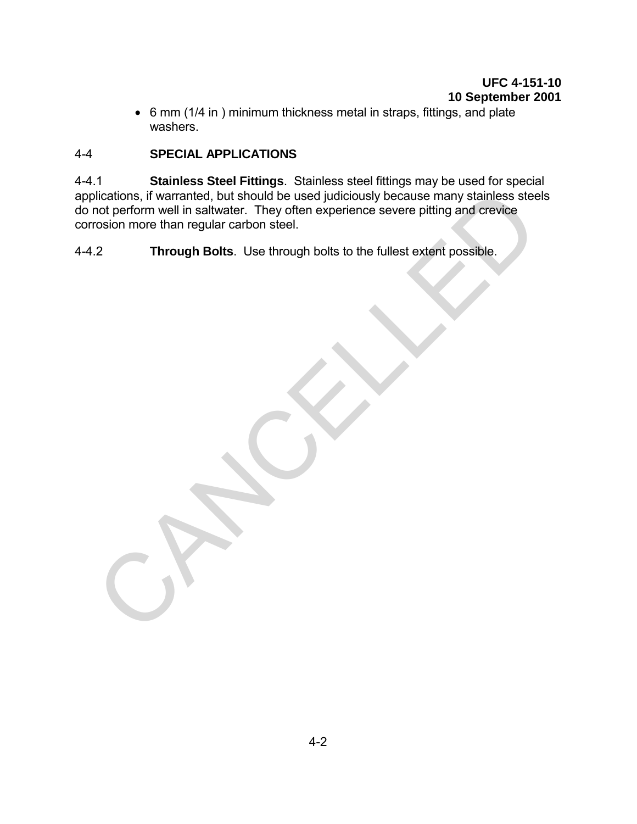• 6 mm (1/4 in ) minimum thickness metal in straps, fittings, and plate washers.

# 4-4 **SPECIAL APPLICATIONS**

4-4.1 **Stainless Steel Fittings**. Stainless steel fittings may be used for special applications, if warranted, but should be used judiciously because many stainless steels do not perform well in saltwater. They often experience severe pitting and crevice corrosion more than regular carbon steel. ilications, if warranted, but should be used judiciously because many stainless steed<br>not perform well in saltwater. They often experience severe pitting and crevice<br>osion more than regular canton steel.<br>Through Bolts. Use

4-4.2 **Through Bolts**. Use through bolts to the fullest extent possible.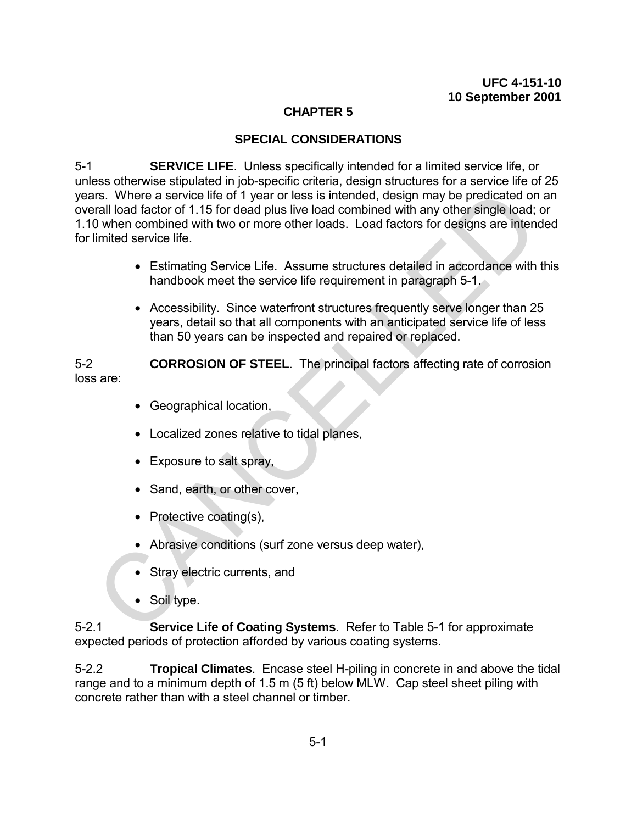#### **CHAPTER 5**

#### **SPECIAL CONSIDERATIONS**

<span id="page-24-0"></span>5-1 **SERVICE LIFE**. Unless specifically intended for a limited service life, or unless otherwise stipulated in job-specific criteria, design structures for a service life of 25 years. Where a service life of 1 year or less is intended, design may be predicated on an overall load factor of 1.15 for dead plus live load combined with any other single load; or 1.10 when combined with two or more other loads. Load factors for designs are intended for limited service life. s. Where a service life of 1 year or less is intended, design may be predicated on:<br>
rall load factor of 1.15 for dead plus live load combined with any other single load;<br>
when combined with two or more other loads. Load f

- Estimating Service Life. Assume structures detailed in accordance with this handbook meet the service life requirement in paragraph 5-1.
- Accessibility. Since waterfront structures frequently serve longer than 25 years, detail so that all components with an anticipated service life of less than 50 years can be inspected and repaired or replaced.

5-2 **CORROSION OF STEEL**. The principal factors affecting rate of corrosion loss are:

- Geographical location,
- Localized zones relative to tidal planes,
- Exposure to salt spray,
- Sand, earth, or other cover,
- Protective coating(s),
- Abrasive conditions (surf zone versus deep water),
- Stray electric currents, and
- Soil type.

5-2.1 **Service Life of Coating Systems**. Refer to Table 5-1 for approximate expected periods of protection afforded by various coating systems.

5-2.2 **Tropical Climates**. Encase steel H-piling in concrete in and above the tidal range and to a minimum depth of 1.5 m (5 ft) below MLW. Cap steel sheet piling with concrete rather than with a steel channel or timber.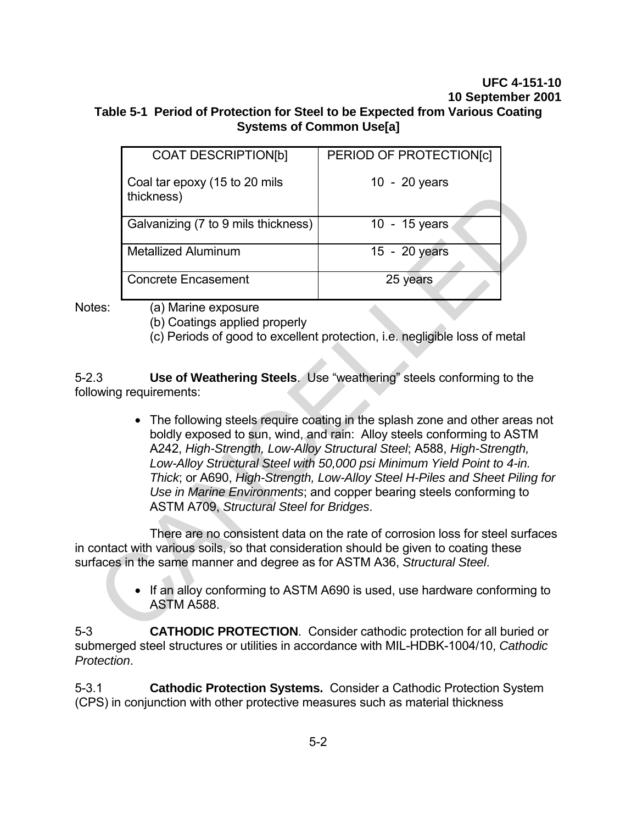#### <span id="page-25-0"></span>**Table 5-1 Period of Protection for Steel to be Expected from Various Coating Systems of Common Use[a]**

| <b>COAT DESCRIPTION[b]</b>                  | PERIOD OF PROTECTION[c] |
|---------------------------------------------|-------------------------|
| Coal tar epoxy (15 to 20 mils<br>thickness) | 10 - 20 years           |
| Galvanizing (7 to 9 mils thickness)         | 10 - 15 years           |
| <b>Metallized Aluminum</b>                  | 15 - 20 years           |
| <b>Concrete Encasement</b>                  | 25 years                |

- Notes: (a) Marine exposure (b) Coatings applied properly
	- (c) Periods of good to excellent protection, i.e. negligible loss of metal

5-2.3 **Use of Weathering Steels**. Use "weathering" steels conforming to the following requirements:

• The following steels require coating in the splash zone and other areas not boldly exposed to sun, wind, and rain: Alloy steels conforming to ASTM A242, *High-Strength, Low-Alloy Structural Steel*; A588, *High-Strength, Low-Alloy Structural Steel with 50,000 psi Minimum Yield Point to 4-in. Thick*; or A690, *High-Strength, Low-Alloy Steel H-Piles and Sheet Piling for Use in Marine Environments*; and copper bearing steels conforming to ASTM A709, *Structural Steel for Bridges*. thickness)<br>
Galvanizing (7 to 9 mils thickness)<br>
Metallized Aluminum<br>
Concrete Encasement<br>
Concrete Encasement<br>
(b) Coatings applied property<br>
(c) Periods of good to excellent protection, i.e. negligible loss of metal<br>
3.<br>

There are no consistent data on the rate of corrosion loss for steel surfaces in contact with various soils, so that consideration should be given to coating these surfaces in the same manner and degree as for ASTM A36, *Structural Steel*.

> • If an alloy conforming to ASTM A690 is used, use hardware conforming to ASTM A588.

5-3 **CATHODIC PROTECTION**. Consider cathodic protection for all buried or submerged steel structures or utilities in accordance with [MIL-HDBK-1004/10,](#page-35-0) *Cathodic [Protection](#page-35-0)*.

5-3.1 **Cathodic Protection Systems.** Consider a Cathodic Protection System (CPS) in conjunction with other protective measures such as material thickness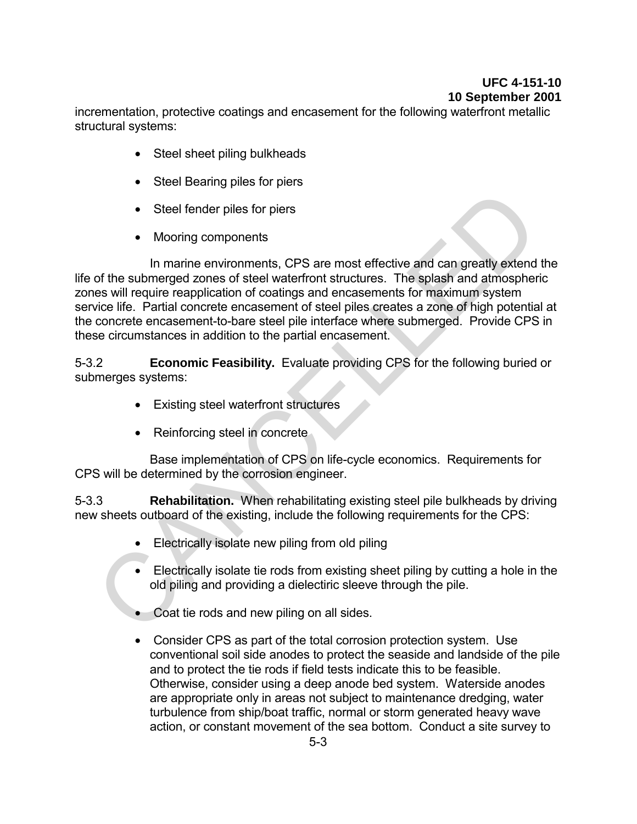incrementation, protective coatings and encasement for the following waterfront metallic structural systems:

- Steel sheet piling bulkheads
- Steel Bearing piles for piers
- Steel fender piles for piers
- Mooring components

In marine environments, CPS are most effective and can greatly extend the life of the submerged zones of steel waterfront structures. The splash and atmospheric zones will require reapplication of coatings and encasements for maximum system service life. Partial concrete encasement of steel piles creates a zone of high potential at the concrete encasement-to-bare steel pile interface where submerged. Provide CPS in these circumstances in addition to the partial encasement. • Steel fender piles for piers<br>
• Mooring components<br>
In marine environments, CPS are most effective and can greatly extend<br>
of the submerged zones of steel waterfront structures. The splash and atmospheres<br>
will require r

5-3.2 **Economic Feasibility.** Evaluate providing CPS for the following buried or submerges systems:

- Existing steel waterfront structures
- Reinforcing steel in concrete

 Base implementation of CPS on life-cycle economics. Requirements for CPS will be determined by the corrosion engineer.

5-3.3 **Rehabilitation.** When rehabilitating existing steel pile bulkheads by driving new sheets outboard of the existing, include the following requirements for the CPS:

- Electrically isolate new piling from old piling
- Electrically isolate tie rods from existing sheet piling by cutting a hole in the old piling and providing a dielectiric sleeve through the pile.
- Coat tie rods and new piling on all sides.
- Consider CPS as part of the total corrosion protection system. Use conventional soil side anodes to protect the seaside and landside of the pile and to protect the tie rods if field tests indicate this to be feasible. Otherwise, consider using a deep anode bed system. Waterside anodes are appropriate only in areas not subject to maintenance dredging, water turbulence from ship/boat traffic, normal or storm generated heavy wave action, or constant movement of the sea bottom. Conduct a site survey to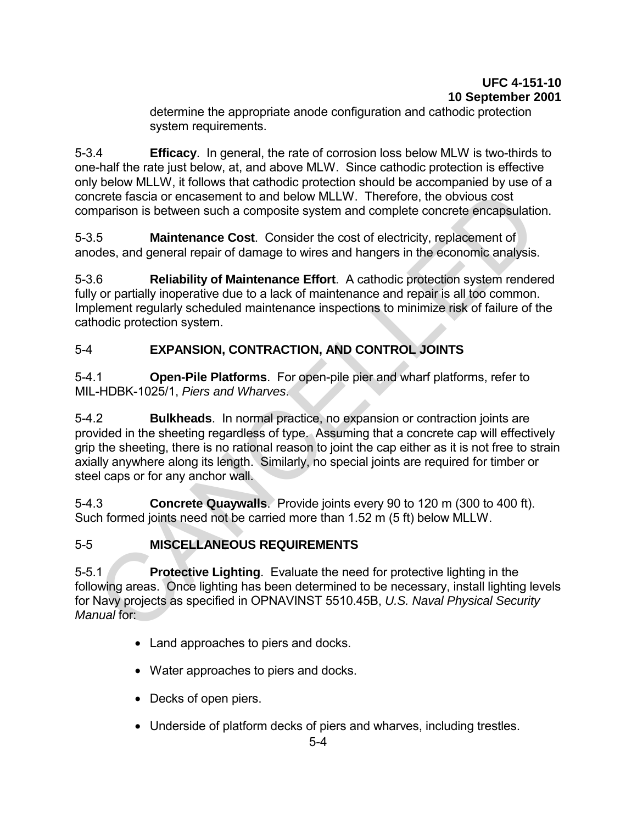determine the appropriate anode configuration and cathodic protection system requirements.

5-3.4 **Efficacy**. In general, the rate of corrosion loss below MLW is two-thirds to one-half the rate just below, at, and above MLW. Since cathodic protection is effective only below MLLW, it follows that cathodic protection should be accompanied by use of a concrete fascia or encasement to and below MLLW. Therefore, the obvious cost comparison is between such a composite system and complete concrete encapsulation.

5-3.5 **Maintenance Cost**. Consider the cost of electricity, replacement of anodes, and general repair of damage to wires and hangers in the economic analysis.

5-3.6 **Reliability of Maintenance Effort**. A cathodic protection system rendered fully or partially inoperative due to a lack of maintenance and repair is all too common. Implement regularly scheduled maintenance inspections to minimize risk of failure of the cathodic protection system.

# 5-4 **EXPANSION, CONTRACTION, AND CONTROL JOINTS**

5-4.1 **Open-Pile Platforms**. For open-pile pier and wharf platforms, refer to MIL-HDBK-1025/1, *Piers and Wharves*.

5-4.2 **Bulkheads**. In normal practice, no expansion or contraction joints are provided in the sheeting regardless of type. Assuming that a concrete cap will effectively grip the sheeting, there is no rational reason to joint the cap either as it is not free to strain axially anywhere along its length. Similarly, no special joints are required for timber or steel caps or for any anchor wall. crete fascia or encasement to and below MLLW. Therefore, the obvious cost<br>parison is between such a composite system and complete concrete encaptisulation<br>5.<br>The maintenance Cost. Consider the cost of electricity, replacem

5-4.3 **Concrete Quaywalls**. Provide joints every 90 to 120 m (300 to 400 ft). Such formed joints need not be carried more than 1.52 m (5 ft) below MLLW.

# 5-5 **MISCELLANEOUS REQUIREMENTS**

5-5.1 **Protective Lighting**. Evaluate the need for protective lighting in the following areas. Once lighting has been determined to be necessary, install lighting levels for Navy projects as specified in OPNAVINST 5510.45B, *U.S. Naval Physical Security [Manual](#page-37-0)* for:

- Land approaches to piers and docks.
- Water approaches to piers and docks.
- Decks of open piers.
- Underside of platform decks of piers and wharves, including trestles.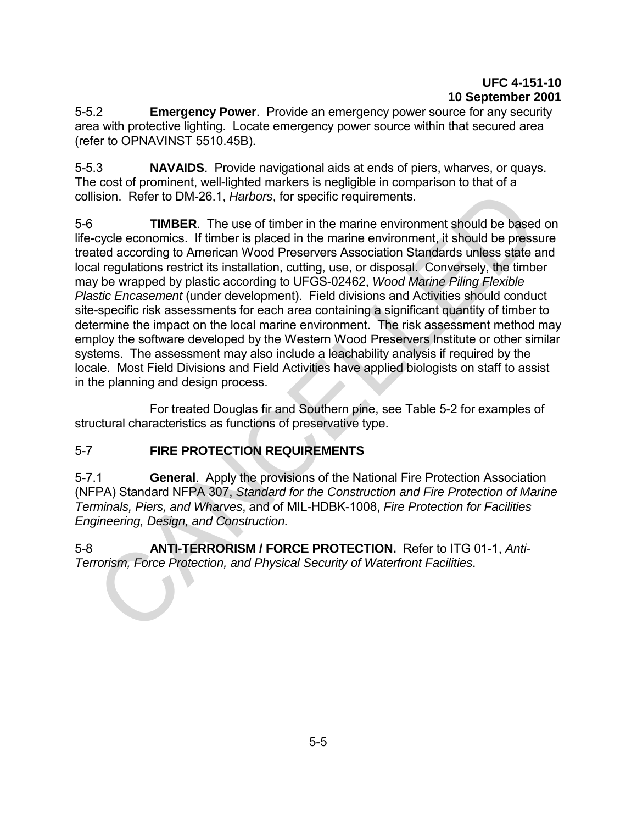<span id="page-28-0"></span>5-5.2 **Emergency Power**. Provide an emergency power source for any security area with protective lighting. Locate emergency power source within that secured area (refer to [OPNAVINST 5510.45B\)](#page-37-0).

5-5.3 **NAVAIDS**. Provide navigational aids at ends of piers, wharves, or quays. The cost of prominent, well-lighted markers is negligible in comparison to that of a collision. Refer to DM-26.1, *Harbors*, for specific requirements.

5-6 **TIMBER**. The use of timber in the marine environment should be based on life-cycle economics. If timber is placed in the marine environment, it should be pressure treated according to American Wood Preservers Association Standards unless state and local regulations restrict its installation, cutting, use, or disposal. Conversely, the timber may be wrapped by plastic according to UFGS-02462, *Wood Marine Piling Flexible [Plastic Encasement](#page-35-0)* (under development). Field divisions and Activities should conduct site-specific risk assessments for each area containing a significant quantity of timber to determine the impact on the local marine environment. The risk assessment method may employ the software developed by the Western Wood Preservers Institute or other similar systems. The assessment may also include a leachability analysis if required by the locale. Most Field Divisions and Field Activities have applied biologists on staff to assist in the planning and design process. ision. Refer to DM-26.1, *Harbors*, for specific requirements.<br>
TIMBER. The use of timber in the marine environment should be basec<br>
cycle economics. If timber is placed in the marine environment, it should be press<br>
devic

 For treated Douglas fir and Southern pine, see Table 5-2 for examples of structural characteristics as functions of preservative type.

# 5-7 **FIRE PROTECTION REQUIREMENTS**

5-7.1 **General**. Apply the provisions of the National Fire Protection Association (NFPA) Standard NFPA 307, *Standard for the Construction and Fire Protection of Marine Terminals, Piers, and Wharves*, and of MIL-HDBK-1008, *Fire Protection for Facilities Engineering, Design, and Construction.* 

5-8 **ANTI-TERRORISM / FORCE PROTECTION.** Refer to ITG 01-1, *Anti-Terrorism, Force Protection, and Physical Security of Waterfront Facilities*.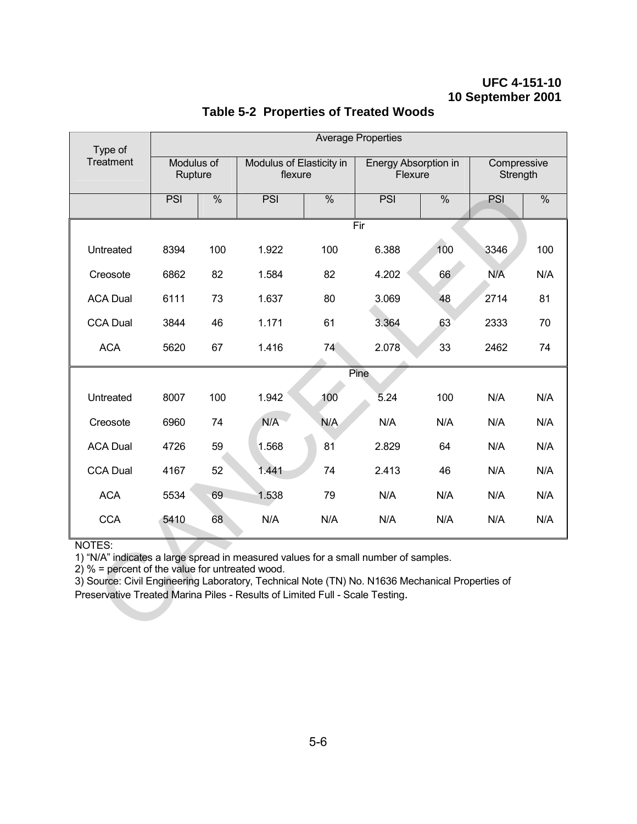<span id="page-29-0"></span>

| Type of                                                                                                                                                                                                                                                                                                                               | <b>Average Properties</b> |      |                                     |                 |                                        |               |                         |      |
|---------------------------------------------------------------------------------------------------------------------------------------------------------------------------------------------------------------------------------------------------------------------------------------------------------------------------------------|---------------------------|------|-------------------------------------|-----------------|----------------------------------------|---------------|-------------------------|------|
| <b>Treatment</b>                                                                                                                                                                                                                                                                                                                      | Modulus of<br>Rupture     |      | Modulus of Elasticity in<br>flexure |                 | <b>Energy Absorption in</b><br>Flexure |               | Compressive<br>Strength |      |
|                                                                                                                                                                                                                                                                                                                                       | PSI                       | $\%$ | <b>PSI</b>                          | %               | PSI                                    | $\frac{0}{0}$ | PSI                     | $\%$ |
|                                                                                                                                                                                                                                                                                                                                       |                           |      |                                     |                 | Fir                                    |               |                         |      |
| Untreated                                                                                                                                                                                                                                                                                                                             | 8394                      | 100  | 1.922                               | 100             | 6.388                                  | 100           | 3346                    | 100  |
| Creosote                                                                                                                                                                                                                                                                                                                              | 6862                      | 82   | 1.584                               | 82              | 4.202                                  | 66            | N/A                     | N/A  |
| <b>ACA Dual</b>                                                                                                                                                                                                                                                                                                                       | 6111                      | 73   | 1.637                               | 80              | 3.069                                  | 48            | 2714                    | 81   |
| <b>CCA Dual</b>                                                                                                                                                                                                                                                                                                                       | 3844                      | 46   | 1.171                               | 61              | 3.364                                  | 63            | 2333                    | 70   |
| <b>ACA</b>                                                                                                                                                                                                                                                                                                                            | 5620                      | 67   | 1.416                               | 74 <sup>°</sup> | 2.078                                  | 33            | 2462                    | 74   |
|                                                                                                                                                                                                                                                                                                                                       |                           |      |                                     |                 | Pine                                   |               |                         |      |
| Untreated                                                                                                                                                                                                                                                                                                                             | 8007                      | 100  | 1.942                               | 100             | 5.24                                   | 100           | N/A                     | N/A  |
| Creosote                                                                                                                                                                                                                                                                                                                              | 6960                      | 74   | N/A                                 | N/A             | N/A                                    | N/A           | N/A                     | N/A  |
| <b>ACA Dual</b>                                                                                                                                                                                                                                                                                                                       | 4726                      | 59   | 1.568                               | 81              | 2.829                                  | 64            | N/A                     | N/A  |
| <b>CCA Dual</b>                                                                                                                                                                                                                                                                                                                       | 4167                      | 52   | 1.441                               | 74              | 2.413                                  | 46            | N/A                     | N/A  |
| <b>ACA</b>                                                                                                                                                                                                                                                                                                                            | 5534                      | 69   | 1.538                               | 79              | N/A                                    | N/A           | N/A                     | N/A  |
| <b>CCA</b>                                                                                                                                                                                                                                                                                                                            | 5410                      | 68   | N/A                                 | N/A             | N/A                                    | N/A           | N/A                     | N/A  |
| NOTES:<br>1) "N/A" indicates a large spread in measured values for a small number of samples.<br>2) $%$ = percent of the value for untreated wood.<br>3) Source: Civil Engineering Laboratory, Technical Note (TN) No. N1636 Mechanical Properties of<br>Preservative Treated Marina Piles - Results of Limited Full - Scale Testing. |                           |      |                                     |                 |                                        |               |                         |      |

#### **Table 5-2 Properties of Treated Woods**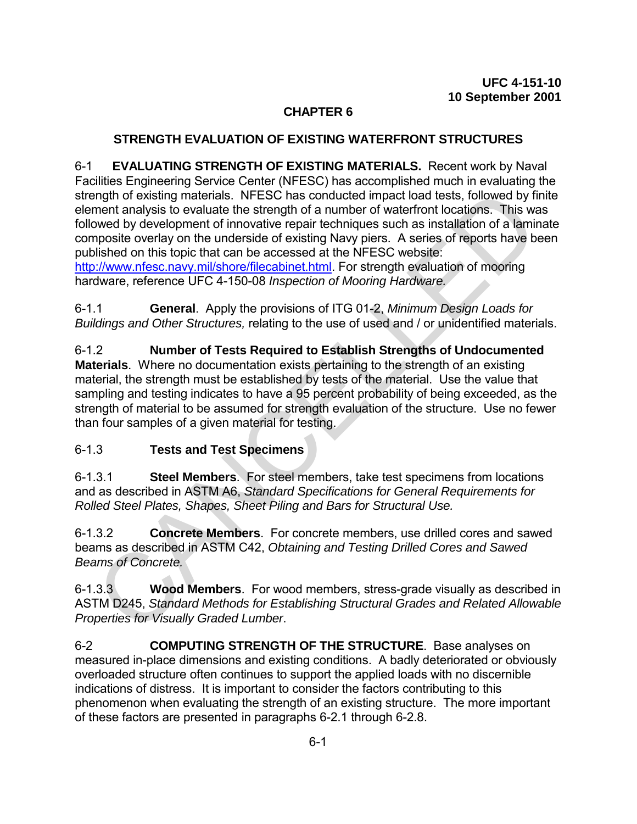#### **CHAPTER 6**

# <span id="page-30-0"></span>**STRENGTH EVALUATION OF EXISTING WATERFRONT STRUCTURES**

6-1 **EVALUATING STRENGTH OF EXISTING MATERIALS.** Recent work by Naval Facilities Engineering Service Center (NFESC) has accomplished much in evaluating the strength of existing materials. NFESC has conducted impact load tests, followed by finite element analysis to evaluate the strength of a number of waterfront locations. This was followed by development of innovative repair techniques such as installation of a laminate composite overlay on the underside of existing Navy piers. A series of reports have been published on this topic that can be accessed at the NFESC website:

http://www.nfesc.navy.mil/shore/filecabinet.html. For strength evaluation of mooring hardware, reference UFC 4-150-08 *Inspection of Mooring Hardware.* 

6-1.1 **General**. Apply the provisions of ITG 01-2, *Minimum Design Loads for Buildings and Other Structures,* relating to the use of used and / or unidentified materials.

6-1.2 **Number of Tests Required to Establish Strengths of Undocumented Materials**. Where no documentation exists pertaining to the strength of an existing material, the strength must be established by tests of the material. Use the value that sampling and testing indicates to have a 95 percent probability of being exceeded, as the strength of material to be assumed for strength evaluation of the structure. Use no fewer than four samples of a given material for testing. mgth of existing materials. NFESC has conducted impact load tests, followed by finement analysis to evaluate the sterngth of a number of waterfront locations. This way wered by development of imovative repair techniques su

# 6-1.3 **Tests and Test Specimens**

6-1.3.1 **Steel Members**. For steel members, take test specimens from locations and as described in ASTM A6, *Standard Specifications for General Requirements for Rolled Steel Plates, Shapes, Sheet Piling and Bars for Structural Use.*

6-1.3.2 **Concrete Members**. For concrete members, use drilled cores and sawed beams as described in ASTM C42, *Obtaining and Testing Drilled Cores and Sawed Beams of Concrete.* 

6-1.3.3 **Wood Members**. For wood members, stress-grade visually as described in ASTM D245, *Standard Methods for Establishing Structural Grades and Related Allowable Properties for Visually Graded Lumber*.

6-2 **COMPUTING STRENGTH OF THE STRUCTURE**. Base analyses on measured in-place dimensions and existing conditions. A badly deteriorated or obviously overloaded structure often continues to support the applied loads with no discernible indications of distress. It is important to consider the factors contributing to this phenomenon when evaluating the strength of an existing structure. The more important of these factors are presented in paragraphs 6-2.1 through 6-2.8.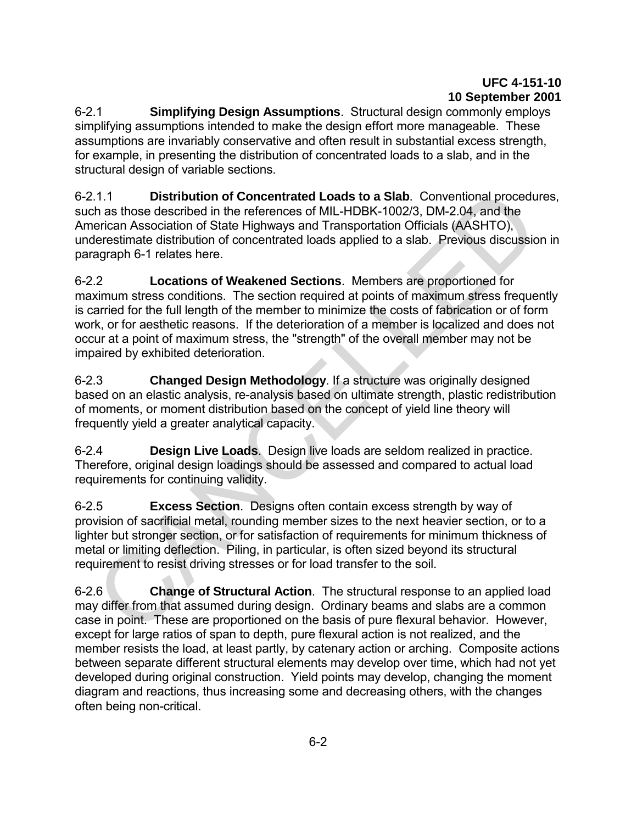6-2.1 **Simplifying Design Assumptions**. Structural design commonly employs simplifying assumptions intended to make the design effort more manageable. These assumptions are invariably conservative and often result in substantial excess strength, for example, in presenting the distribution of concentrated loads to a slab, and in the structural design of variable sections.

6-2.1.1 **Distribution of Concentrated Loads to a Slab**. Conventional procedures, such as those described in the references of MIL-HDBK-1002/3, DM-2.04, and the American Association of State Highways and Transportation Officials (AASHTO), underestimate distribution of concentrated loads applied to a slab. Previous discussion in paragraph 6-1 relates here.

6-2.2 **Locations of Weakened Sections**. Members are proportioned for maximum stress conditions. The section required at points of maximum stress frequently is carried for the full length of the member to minimize the costs of fabrication or of form work, or for aesthetic reasons. If the deterioration of a member is localized and does not occur at a point of maximum stress, the "strength" of the overall member may not be impaired by exhibited deterioration. 1.1 **[D](#page-35-0)istribution of Concentrated Loads to a Slab.** Conventional procedu<br>h as those described in the references of MIL-HDBK-100273, DM-2.04, and the<br>erestimate distribution of State Highways and Transportation Officials (A

6-2.3 **Changed Design Methodology**. If a structure was originally designed based on an elastic analysis, re-analysis based on ultimate strength, plastic redistribution of moments, or moment distribution based on the concept of yield line theory will frequently yield a greater analytical capacity.

6-2.4 **Design Live Loads**. Design live loads are seldom realized in practice. Therefore, original design loadings should be assessed and compared to actual load requirements for continuing validity.

6-2.5 **Excess Section**. Designs often contain excess strength by way of provision of sacrificial metal, rounding member sizes to the next heavier section, or to a lighter but stronger section, or for satisfaction of requirements for minimum thickness of metal or limiting deflection. Piling, in particular, is often sized beyond its structural requirement to resist driving stresses or for load transfer to the soil.

6-2.6 **Change of Structural Action**. The structural response to an applied load may differ from that assumed during design. Ordinary beams and slabs are a common case in point. These are proportioned on the basis of pure flexural behavior. However, except for large ratios of span to depth, pure flexural action is not realized, and the member resists the load, at least partly, by catenary action or arching. Composite actions between separate different structural elements may develop over time, which had not yet developed during original construction. Yield points may develop, changing the moment diagram and reactions, thus increasing some and decreasing others, with the changes often being non-critical.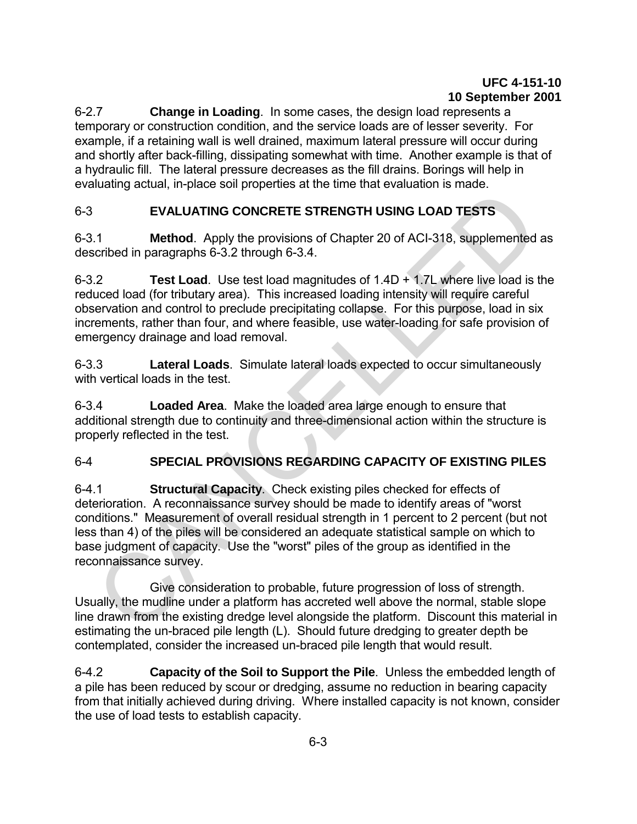6-2.7 **Change in Loading**. In some cases, the design load represents a temporary or construction condition, and the service loads are of lesser severity. For example, if a retaining wall is well drained, maximum lateral pressure will occur during and shortly after back-filling, dissipating somewhat with time. Another example is that of a hydraulic fill. The lateral pressure decreases as the fill drains. Borings will help in evaluating actual, in-place soil properties at the time that evaluation is made.

# 6-3 **EVALUATING CONCRETE STRENGTH USING LOAD TESTS**

6-3.1 **Method**. Apply the provisions of Chapter 20 of ACI-318, supplemented as described in paragraphs 6-3.2 through 6-3.4.

6-3.2 **Test Load**. Use test load magnitudes of 1.4D + 1.7L where live load is the reduced load (for tributary area). This increased loading intensity will require careful observation and control to preclude precipitating collapse. For this purpose, load in six increments, rather than four, and where feasible, use water-loading for safe provision of emergency drainage and load removal.

6-3.3 **Lateral Loads**. Simulate lateral loads expected to occur simultaneously with vertical loads in the test.

6-3.4 **Loaded Area**. Make the loaded area large enough to ensure that additional strength due to continuity and three-dimensional action within the structure is properly reflected in the test.

# 6-4 **SPECIAL PROVISIONS REGARDING CAPACITY OF EXISTING PILES**

6-4.1 **Structural Capacity**. Check existing piles checked for effects of deterioration. A reconnaissance survey should be made to identify areas of "worst conditions." Measurement of overall residual strength in 1 percent to 2 percent (but not less than 4) of the piles will be considered an adequate statistical sample on which to base judgment of capacity. Use the "worst" piles of the group as identified in the reconnaissance survey. **EVALUATING CONCRETE STRENGTH USING LOAD TESTS**<br>
1 **Method**. Apply the provisions of Chapter 20 of ACI-318, supplemented<br>
cribed in paragraphs 6-3.2 through 6-3.4.<br>
2 **Test Load**. Use test load magnitudes of 1.4D + 1.7L wh

 Give consideration to probable, future progression of loss of strength. Usually, the mudline under a platform has accreted well above the normal, stable slope line drawn from the existing dredge level alongside the platform. Discount this material in estimating the un-braced pile length (L). Should future dredging to greater depth be contemplated, consider the increased un-braced pile length that would result.

6-4.2 **Capacity of the Soil to Support the Pile**. Unless the embedded length of a pile has been reduced by scour or dredging, assume no reduction in bearing capacity from that initially achieved during driving. Where installed capacity is not known, consider the use of load tests to establish capacity.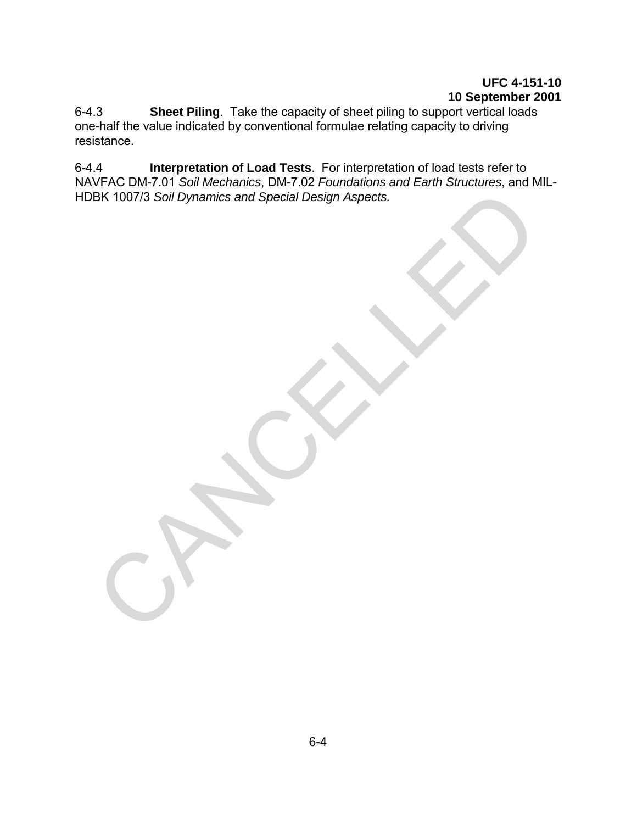6-4.3 **Sheet Piling**. Take the capacity of sheet piling to support vertical loads one-half the value indicated by conventional formulae relating capacity to driving resistance.

6-4.4 **Interpretation of Load Tests**. For interpretation of load tests refer to NAVFAC DM-7.01 *Soil Mechanics*, DM-7.02 *Foundations and Earth Structures*, and MIL-HDBK 1007/3 *Soil Dynamics and Special Design Aspects.* BK 1007/3 Soil [D](#page-35-0)ynamics and Special Design Aspects.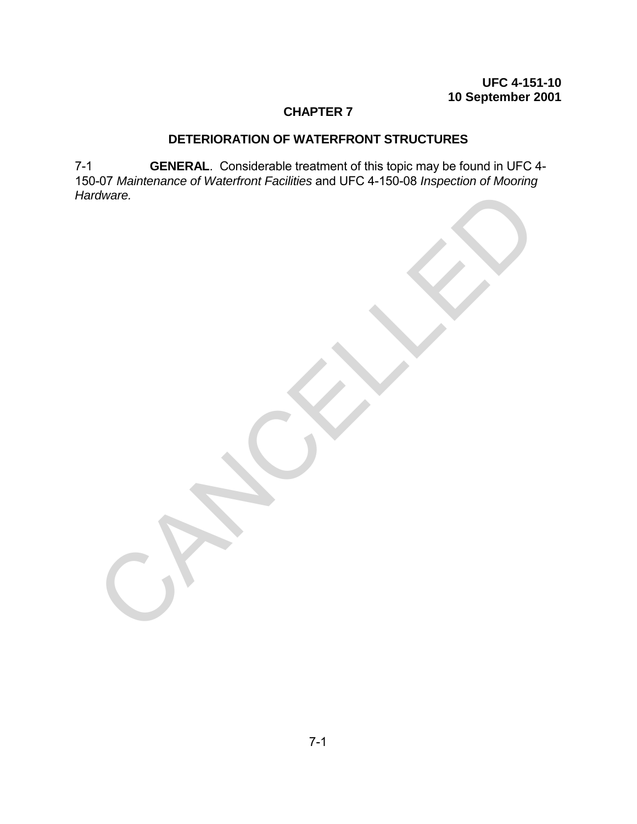# **CHAPTER 7**

#### **DETERIORATION OF WATERFRONT STRUCTURES**

<span id="page-34-0"></span>7-1 **GENERAL**. Considerable treatment of this topic may be found in [UFC 4-](#page-36-0) 150-07 *[Maintenance of Waterfront Facilities](#page-36-0)* and UFC 4-150-08 *Inspection of Mooring [Hardware.](#page-36-0)* 

CANCELLED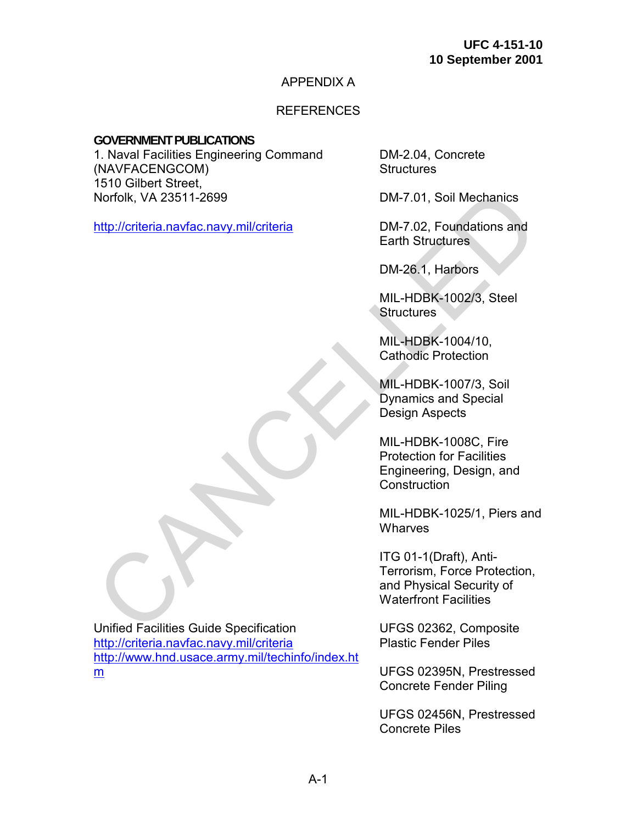#### APPENDIX A

#### REFERENCES

#### <span id="page-35-0"></span>**GOVERNMENT PUBLICATIONS**

1. Naval Facilities Engineering Command (NAVFACENGCOM) 1510 Gilbert Street, Norfolk, VA 23511-2699

http://criteria.navfac.navy.mil/criteria

DM-2.04, Concrete **Structures** 

DM-7.01, Soil Mechanics

DM-7.02, Foundations and Earth Structures

DM-26.1, Harbors

MIL-HDBK-1002/3, Steel **Structures** 

MIL-HDBK-1004/10, Cathodic Protection

MIL-HDBK-1007/3, Soil Dynamics and Special Design Aspects

MIL-HDBK-1008C, Fire Protection for Facilities Engineering, Design, and **Construction** 

MIL-HDBK-1025/1, Piers and **Wharves** 

ITG 01-1(Draft), Anti-Terrorism, Force Protection, and Physical Security of Waterfront Facilities Norfolk, VA 23511-2699<br>
DM-7.01, Soil Mechanics<br>
DM-7.02, Foundations and<br>
Earth Structures<br>
DM-26.1, Harbors<br>
MIL-HDBK-1002/3, Steel<br>
Structures<br>
MIL-HDBK-1002/3, Steel<br>
Structures<br>
MIL-HDBK-1004/10,<br>
Cathodic Protection<br>

UFGS 02362, Composite Plastic Fender Piles

UFGS 02395N, Prestressed Concrete Fender Piling

UFGS 02456N, Prestressed Concrete Piles

[Unified Facilities Guide Specification](http://criteria.navfac.navy.mil/criteria)  http://criteria.navfac.navy.mil/criteria [http://www.hnd.usace.army.mil/techinfo/index.ht](http://www.hnd.usace.army.mil/techinfo/index.htm) [m](http://www.hnd.usace.army.mil/techinfo/index.htm)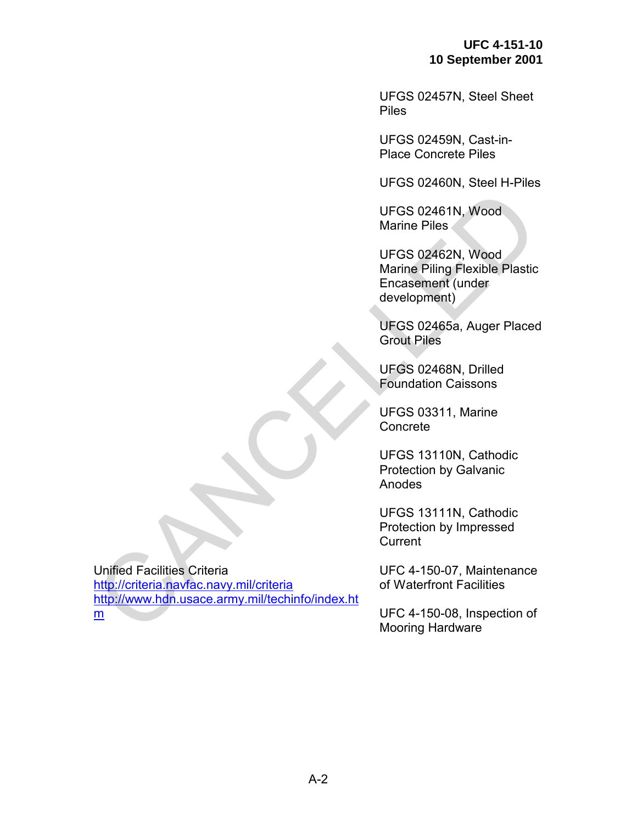UFGS 02457N, Steel Sheet Piles

UFGS 02459N, Cast-in-Place Concrete Piles

UFGS 02460N, Steel H-Piles

UFGS 02461N, Wood Marine Piles

UFGS 02462N, Wood Marine Piling Flexible Plastic Encasement (under development)

UFGS 02465a, Auger Placed Grout Piles

UFGS 02468N, Drilled Foundation Caissons

UFGS 03311, Marine **Concrete** 

UFGS 13110N, Cathodic Protection by Galvanic Anodes

UFGS 13111N, Cathodic Protection by Impressed **Current** 

UFC 4-150-07, Maintenance of Waterfront Facilities

UFC 4-150-08, Inspection of Mooring Hardware

<span id="page-36-0"></span>Unified Facilities Criteria http://criteria.navfac.navy.mil/criteria http://www.hdn.usace.army.mil/techinfo/index.ht m UFGS 02461N, Wood<br>
Marine Piles<br>
UFGS 02462N, Wood<br>
Marine Pling Flexible Plastic<br>
Encasement (under<br>
development)<br>
UFGS 02465a, Auger Place<br>
Grout Piles<br>
UFGS 03445a, Auger Place<br>
Grout Piles<br>
UFGS 03311, Marine<br>
Concrete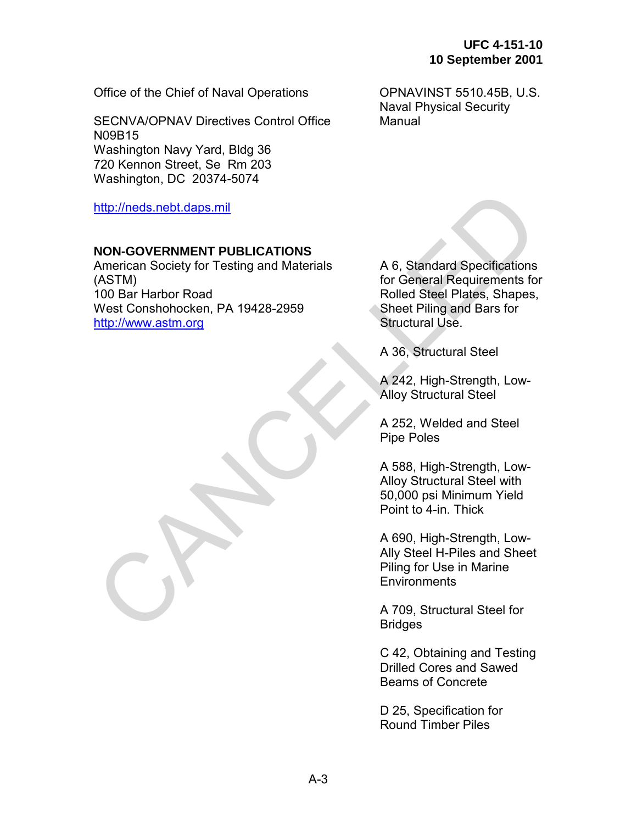<span id="page-37-0"></span>Office of the Chief of Naval Operations

SECNVA/OPNAV Directives Control Office N09B15 Washington Navy Yard, Bldg 36 720 Kennon Street, Se Rm 203 Washington, DC 20374-5074

http://neds.nebt.daps.mil

#### **NON-GOVERNMENT PUBLICATIONS**

American Society for Testing and Materials (ASTM) 100 Bar Harbor Road West Conshohocken, PA 19428-2959 http://www.astm.org **NON-GOVERNMENT PUBLICATIONS**<br>
A 6, Standard Specifications<br>
(ASTM)<br>
(ASTM)<br>
CASTM)<br>
(CASTM)<br>
CASTM for General Requirements for<br>
COB Bar Harbor Road<br>
Structural Use.<br>
A 36, Structural Use.<br>
A 36, Structural Steel<br>
A 242,

OPNAVINST 5510.45B, U.S. Naval Physical Security Manual

A 6, Standard Specifications for General Requirements for Rolled Steel Plates, Shapes, Sheet Piling and Bars for Structural Use.

A 36, Structural Steel

A 242, High-Strength, Low-Alloy Structural Steel

A 252, Welded and Steel Pipe Poles

A 588, High-Strength, Low-Alloy Structural Steel with 50,000 psi Minimum Yield Point to 4-in. Thick

A 690, High-Strength, Low-Ally Steel H-Piles and Sheet Piling for Use in Marine **Environments** 

A 709, Structural Steel for Bridges

C 42, Obtaining and Testing Drilled Cores and Sawed Beams of Concrete

D 25, Specification for Round Timber Piles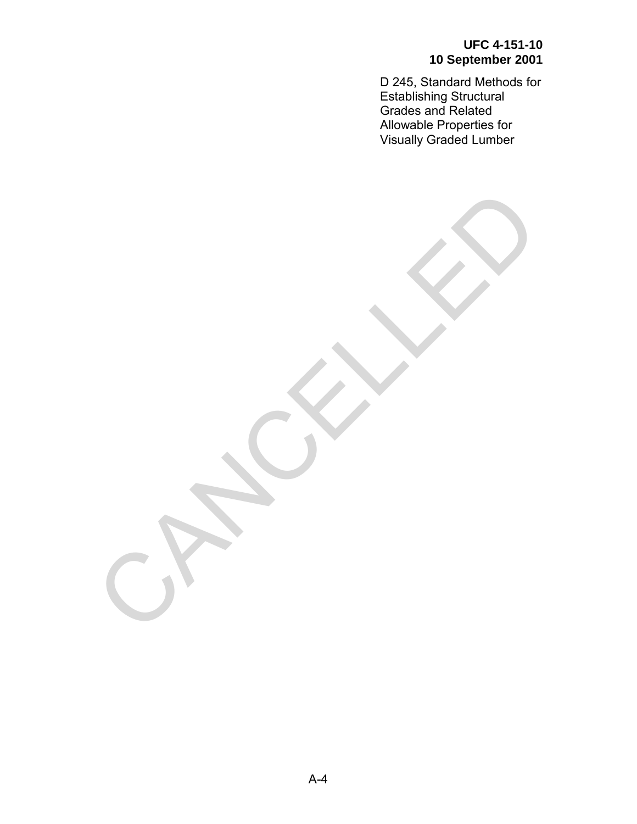D 245, Standard Methods for Establishing Structural Grades and Related Allowable Properties for Visually Graded Lumber

CANCELLED